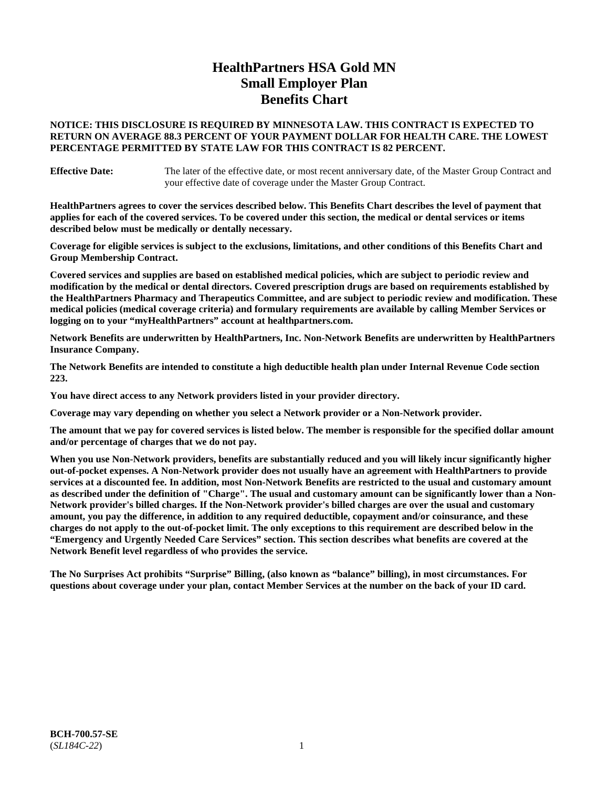# **HealthPartners HSA Gold MN Small Employer Plan Benefits Chart**

### **NOTICE: THIS DISCLOSURE IS REQUIRED BY MINNESOTA LAW. THIS CONTRACT IS EXPECTED TO RETURN ON AVERAGE 88.3 PERCENT OF YOUR PAYMENT DOLLAR FOR HEALTH CARE. THE LOWEST PERCENTAGE PERMITTED BY STATE LAW FOR THIS CONTRACT IS 82 PERCENT.**

**Effective Date:** The later of the effective date, or most recent anniversary date, of the Master Group Contract and your effective date of coverage under the Master Group Contract.

**HealthPartners agrees to cover the services described below. This Benefits Chart describes the level of payment that applies for each of the covered services. To be covered under this section, the medical or dental services or items described below must be medically or dentally necessary.**

**Coverage for eligible services is subject to the exclusions, limitations, and other conditions of this Benefits Chart and Group Membership Contract.**

**Covered services and supplies are based on established medical policies, which are subject to periodic review and modification by the medical or dental directors. Covered prescription drugs are based on requirements established by the HealthPartners Pharmacy and Therapeutics Committee, and are subject to periodic review and modification. These medical policies (medical coverage criteria) and formulary requirements are available by calling Member Services or logging on to your "myHealthPartners" account at [healthpartners.com.](https://www.healthpartners.com/hp/index.html)**

**Network Benefits are underwritten by HealthPartners, Inc. Non-Network Benefits are underwritten by HealthPartners Insurance Company.** 

**The Network Benefits are intended to constitute a high deductible health plan under Internal Revenue Code section 223.** 

**You have direct access to any Network providers listed in your provider directory.**

**Coverage may vary depending on whether you select a Network provider or a Non-Network provider.**

**The amount that we pay for covered services is listed below. The member is responsible for the specified dollar amount and/or percentage of charges that we do not pay.**

**When you use Non-Network providers, benefits are substantially reduced and you will likely incur significantly higher out-of-pocket expenses. A Non-Network provider does not usually have an agreement with HealthPartners to provide services at a discounted fee. In addition, most Non-Network Benefits are restricted to the usual and customary amount as described under the definition of "Charge". The usual and customary amount can be significantly lower than a Non-Network provider's billed charges. If the Non-Network provider's billed charges are over the usual and customary amount, you pay the difference, in addition to any required deductible, copayment and/or coinsurance, and these charges do not apply to the out-of-pocket limit. The only exceptions to this requirement are described below in the "Emergency and Urgently Needed Care Services" section. This section describes what benefits are covered at the Network Benefit level regardless of who provides the service.**

**The No Surprises Act prohibits "Surprise" Billing, (also known as "balance" billing), in most circumstances. For questions about coverage under your plan, contact Member Services at the number on the back of your ID card.**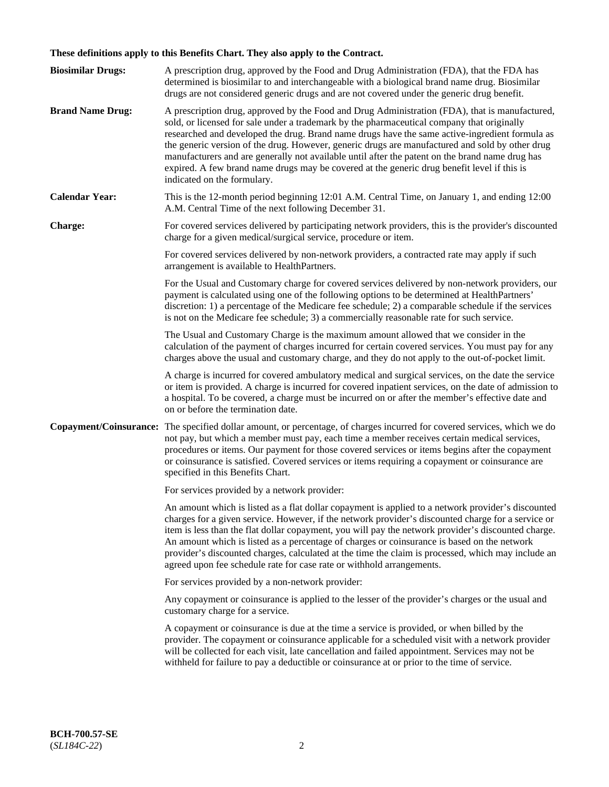# **These definitions apply to this Benefits Chart. They also apply to the Contract.**

| <b>Biosimilar Drugs:</b> | A prescription drug, approved by the Food and Drug Administration (FDA), that the FDA has<br>determined is biosimilar to and interchangeable with a biological brand name drug. Biosimilar<br>drugs are not considered generic drugs and are not covered under the generic drug benefit.                                                                                                                                                                                                                                                                                                                                           |
|--------------------------|------------------------------------------------------------------------------------------------------------------------------------------------------------------------------------------------------------------------------------------------------------------------------------------------------------------------------------------------------------------------------------------------------------------------------------------------------------------------------------------------------------------------------------------------------------------------------------------------------------------------------------|
| <b>Brand Name Drug:</b>  | A prescription drug, approved by the Food and Drug Administration (FDA), that is manufactured,<br>sold, or licensed for sale under a trademark by the pharmaceutical company that originally<br>researched and developed the drug. Brand name drugs have the same active-ingredient formula as<br>the generic version of the drug. However, generic drugs are manufactured and sold by other drug<br>manufacturers and are generally not available until after the patent on the brand name drug has<br>expired. A few brand name drugs may be covered at the generic drug benefit level if this is<br>indicated on the formulary. |
| <b>Calendar Year:</b>    | This is the 12-month period beginning 12:01 A.M. Central Time, on January 1, and ending 12:00<br>A.M. Central Time of the next following December 31.                                                                                                                                                                                                                                                                                                                                                                                                                                                                              |
| <b>Charge:</b>           | For covered services delivered by participating network providers, this is the provider's discounted<br>charge for a given medical/surgical service, procedure or item.                                                                                                                                                                                                                                                                                                                                                                                                                                                            |
|                          | For covered services delivered by non-network providers, a contracted rate may apply if such<br>arrangement is available to HealthPartners.                                                                                                                                                                                                                                                                                                                                                                                                                                                                                        |
|                          | For the Usual and Customary charge for covered services delivered by non-network providers, our<br>payment is calculated using one of the following options to be determined at HealthPartners'<br>discretion: 1) a percentage of the Medicare fee schedule; 2) a comparable schedule if the services<br>is not on the Medicare fee schedule; 3) a commercially reasonable rate for such service.                                                                                                                                                                                                                                  |
|                          | The Usual and Customary Charge is the maximum amount allowed that we consider in the<br>calculation of the payment of charges incurred for certain covered services. You must pay for any<br>charges above the usual and customary charge, and they do not apply to the out-of-pocket limit.                                                                                                                                                                                                                                                                                                                                       |
|                          | A charge is incurred for covered ambulatory medical and surgical services, on the date the service<br>or item is provided. A charge is incurred for covered inpatient services, on the date of admission to<br>a hospital. To be covered, a charge must be incurred on or after the member's effective date and<br>on or before the termination date.                                                                                                                                                                                                                                                                              |
| Copayment/Coinsurance:   | The specified dollar amount, or percentage, of charges incurred for covered services, which we do<br>not pay, but which a member must pay, each time a member receives certain medical services,<br>procedures or items. Our payment for those covered services or items begins after the copayment<br>or coinsurance is satisfied. Covered services or items requiring a copayment or coinsurance are<br>specified in this Benefits Chart.                                                                                                                                                                                        |
|                          | For services provided by a network provider:                                                                                                                                                                                                                                                                                                                                                                                                                                                                                                                                                                                       |
|                          | An amount which is listed as a flat dollar copayment is applied to a network provider's discounted<br>charges for a given service. However, if the network provider's discounted charge for a service or<br>item is less than the flat dollar copayment, you will pay the network provider's discounted charge.<br>An amount which is listed as a percentage of charges or coinsurance is based on the network<br>provider's discounted charges, calculated at the time the claim is processed, which may include an<br>agreed upon fee schedule rate for case rate or withhold arrangements.                                      |
|                          | For services provided by a non-network provider:                                                                                                                                                                                                                                                                                                                                                                                                                                                                                                                                                                                   |
|                          | Any copayment or coinsurance is applied to the lesser of the provider's charges or the usual and<br>customary charge for a service.                                                                                                                                                                                                                                                                                                                                                                                                                                                                                                |
|                          | A copayment or coinsurance is due at the time a service is provided, or when billed by the<br>provider. The copayment or coinsurance applicable for a scheduled visit with a network provider<br>will be collected for each visit, late cancellation and failed appointment. Services may not be<br>withheld for failure to pay a deductible or coinsurance at or prior to the time of service.                                                                                                                                                                                                                                    |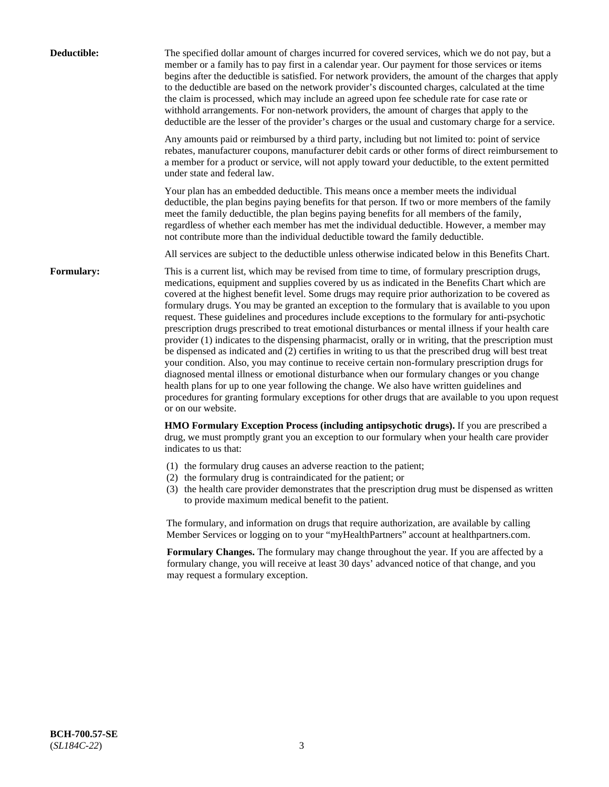| Deductible: | The specified dollar amount of charges incurred for covered services, which we do not pay, but a<br>member or a family has to pay first in a calendar year. Our payment for those services or items<br>begins after the deductible is satisfied. For network providers, the amount of the charges that apply<br>to the deductible are based on the network provider's discounted charges, calculated at the time<br>the claim is processed, which may include an agreed upon fee schedule rate for case rate or<br>withhold arrangements. For non-network providers, the amount of charges that apply to the<br>deductible are the lesser of the provider's charges or the usual and customary charge for a service.                                                                                                                                                                                                                                                                                                                                                                                                                                                                                                                                             |
|-------------|------------------------------------------------------------------------------------------------------------------------------------------------------------------------------------------------------------------------------------------------------------------------------------------------------------------------------------------------------------------------------------------------------------------------------------------------------------------------------------------------------------------------------------------------------------------------------------------------------------------------------------------------------------------------------------------------------------------------------------------------------------------------------------------------------------------------------------------------------------------------------------------------------------------------------------------------------------------------------------------------------------------------------------------------------------------------------------------------------------------------------------------------------------------------------------------------------------------------------------------------------------------|
|             | Any amounts paid or reimbursed by a third party, including but not limited to: point of service<br>rebates, manufacturer coupons, manufacturer debit cards or other forms of direct reimbursement to<br>a member for a product or service, will not apply toward your deductible, to the extent permitted<br>under state and federal law.                                                                                                                                                                                                                                                                                                                                                                                                                                                                                                                                                                                                                                                                                                                                                                                                                                                                                                                        |
|             | Your plan has an embedded deductible. This means once a member meets the individual<br>deductible, the plan begins paying benefits for that person. If two or more members of the family<br>meet the family deductible, the plan begins paying benefits for all members of the family,<br>regardless of whether each member has met the individual deductible. However, a member may<br>not contribute more than the individual deductible toward the family deductible.                                                                                                                                                                                                                                                                                                                                                                                                                                                                                                                                                                                                                                                                                                                                                                                         |
|             | All services are subject to the deductible unless otherwise indicated below in this Benefits Chart.                                                                                                                                                                                                                                                                                                                                                                                                                                                                                                                                                                                                                                                                                                                                                                                                                                                                                                                                                                                                                                                                                                                                                              |
| Formulary:  | This is a current list, which may be revised from time to time, of formulary prescription drugs,<br>medications, equipment and supplies covered by us as indicated in the Benefits Chart which are<br>covered at the highest benefit level. Some drugs may require prior authorization to be covered as<br>formulary drugs. You may be granted an exception to the formulary that is available to you upon<br>request. These guidelines and procedures include exceptions to the formulary for anti-psychotic<br>prescription drugs prescribed to treat emotional disturbances or mental illness if your health care<br>provider (1) indicates to the dispensing pharmacist, orally or in writing, that the prescription must<br>be dispensed as indicated and (2) certifies in writing to us that the prescribed drug will best treat<br>your condition. Also, you may continue to receive certain non-formulary prescription drugs for<br>diagnosed mental illness or emotional disturbance when our formulary changes or you change<br>health plans for up to one year following the change. We also have written guidelines and<br>procedures for granting formulary exceptions for other drugs that are available to you upon request<br>or on our website. |
|             | HMO Formulary Exception Process (including antipsychotic drugs). If you are prescribed a<br>drug, we must promptly grant you an exception to our formulary when your health care provider<br>indicates to us that:                                                                                                                                                                                                                                                                                                                                                                                                                                                                                                                                                                                                                                                                                                                                                                                                                                                                                                                                                                                                                                               |
|             | (1) the formulary drug causes an adverse reaction to the patient;<br>(2) the formulary drug is contraindicated for the patient; or<br>(3) the health care provider demonstrates that the prescription drug must be dispensed as written<br>to provide maximum medical benefit to the patient.                                                                                                                                                                                                                                                                                                                                                                                                                                                                                                                                                                                                                                                                                                                                                                                                                                                                                                                                                                    |
|             | The formulary, and information on drugs that require authorization, are available by calling<br>Member Services or logging on to your "myHealthPartners" account at healthpartners.com.                                                                                                                                                                                                                                                                                                                                                                                                                                                                                                                                                                                                                                                                                                                                                                                                                                                                                                                                                                                                                                                                          |
|             | Formulary Changes. The formulary may change throughout the year. If you are affected by a<br>formulary change, you will receive at least 30 days' advanced notice of that change, and you<br>may request a formulary exception.                                                                                                                                                                                                                                                                                                                                                                                                                                                                                                                                                                                                                                                                                                                                                                                                                                                                                                                                                                                                                                  |
|             |                                                                                                                                                                                                                                                                                                                                                                                                                                                                                                                                                                                                                                                                                                                                                                                                                                                                                                                                                                                                                                                                                                                                                                                                                                                                  |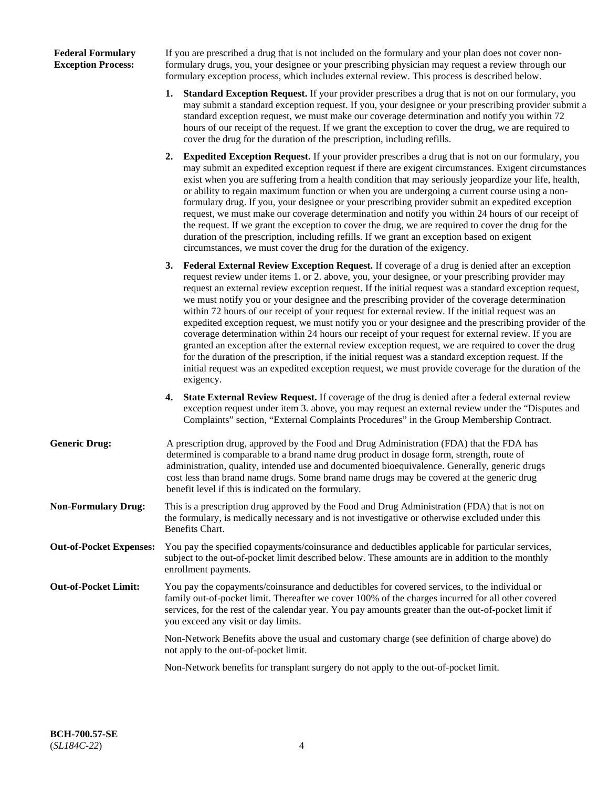| <b>Federal Formulary</b>  |  |
|---------------------------|--|
| <b>Exception Process:</b> |  |

If you are prescribed a drug that is not included on the formulary and your plan does not cover nonformulary drugs, you, your designee or your prescribing physician may request a review through our formulary exception process, which includes external review. This process is described below.

- **1. Standard Exception Request.** If your provider prescribes a drug that is not on our formulary, you may submit a standard exception request. If you, your designee or your prescribing provider submit a standard exception request, we must make our coverage determination and notify you within 72 hours of our receipt of the request. If we grant the exception to cover the drug, we are required to cover the drug for the duration of the prescription, including refills.
- **2. Expedited Exception Request.** If your provider prescribes a drug that is not on our formulary, you may submit an expedited exception request if there are exigent circumstances. Exigent circumstances exist when you are suffering from a health condition that may seriously jeopardize your life, health, or ability to regain maximum function or when you are undergoing a current course using a nonformulary drug. If you, your designee or your prescribing provider submit an expedited exception request, we must make our coverage determination and notify you within 24 hours of our receipt of the request. If we grant the exception to cover the drug, we are required to cover the drug for the duration of the prescription, including refills. If we grant an exception based on exigent circumstances, we must cover the drug for the duration of the exigency.
- **3. Federal External Review Exception Request.** If coverage of a drug is denied after an exception request review under items 1. or 2. above, you, your designee, or your prescribing provider may request an external review exception request. If the initial request was a standard exception request, we must notify you or your designee and the prescribing provider of the coverage determination within 72 hours of our receipt of your request for external review. If the initial request was an expedited exception request, we must notify you or your designee and the prescribing provider of the coverage determination within 24 hours our receipt of your request for external review. If you are granted an exception after the external review exception request, we are required to cover the drug for the duration of the prescription, if the initial request was a standard exception request. If the initial request was an expedited exception request, we must provide coverage for the duration of the exigency.
- **4. State External Review Request.** If coverage of the drug is denied after a federal external review exception request under item 3. above, you may request an external review under the "Disputes and Complaints" section, "External Complaints Procedures" in the Group Membership Contract.
- **Generic Drug:** A prescription drug, approved by the Food and Drug Administration (FDA) that the FDA has determined is comparable to a brand name drug product in dosage form, strength, route of administration, quality, intended use and documented bioequivalence. Generally, generic drugs cost less than brand name drugs. Some brand name drugs may be covered at the generic drug benefit level if this is indicated on the formulary.
- **Non-Formulary Drug:** This is a prescription drug approved by the Food and Drug Administration (FDA) that is not on the formulary, is medically necessary and is not investigative or otherwise excluded under this Benefits Chart.
- **Out-of-Pocket Expenses:** You pay the specified copayments/coinsurance and deductibles applicable for particular services, subject to the out-of-pocket limit described below. These amounts are in addition to the monthly enrollment payments.
- **Out-of-Pocket Limit:** You pay the copayments/coinsurance and deductibles for covered services, to the individual or family out-of-pocket limit. Thereafter we cover 100% of the charges incurred for all other covered services, for the rest of the calendar year. You pay amounts greater than the out-of-pocket limit if you exceed any visit or day limits.

Non-Network Benefits above the usual and customary charge (see definition of charge above) do not apply to the out-of-pocket limit.

Non-Network benefits for transplant surgery do not apply to the out-of-pocket limit.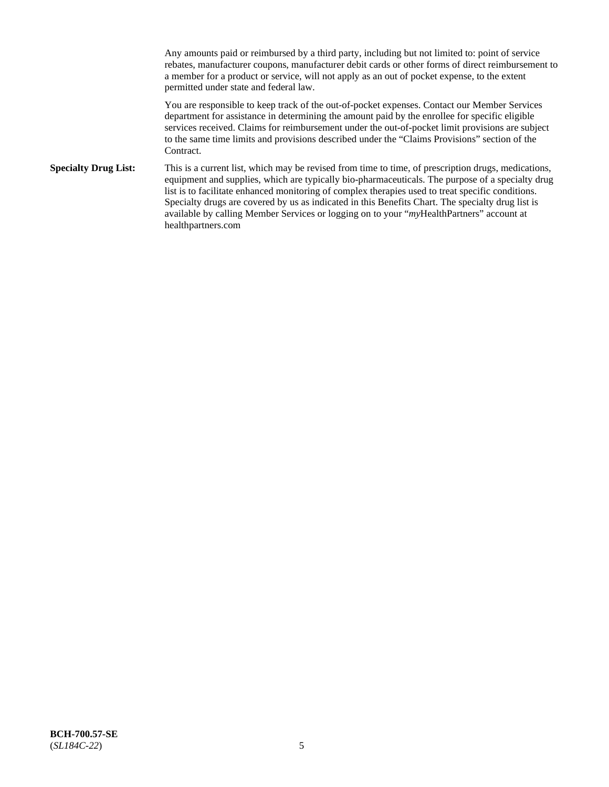Any amounts paid or reimbursed by a third party, including but not limited to: point of service rebates, manufacturer coupons, manufacturer debit cards or other forms of direct reimbursement to a member for a product or service, will not apply as an out of pocket expense, to the extent permitted under state and federal law.

You are responsible to keep track of the out-of-pocket expenses. Contact our Member Services department for assistance in determining the amount paid by the enrollee for specific eligible services received. Claims for reimbursement under the out-of-pocket limit provisions are subject to the same time limits and provisions described under the "Claims Provisions" section of the Contract.

**Specialty Drug List:** This is a current list, which may be revised from time to time, of prescription drugs, medications, equipment and supplies, which are typically bio-pharmaceuticals. The purpose of a specialty drug list is to facilitate enhanced monitoring of complex therapies used to treat specific conditions. Specialty drugs are covered by us as indicated in this Benefits Chart. The specialty drug list is available by calling Member Services or logging on to your "*my*HealthPartners" account at [healthpartners.com](https://www.healthpartners.com/hp/index.html)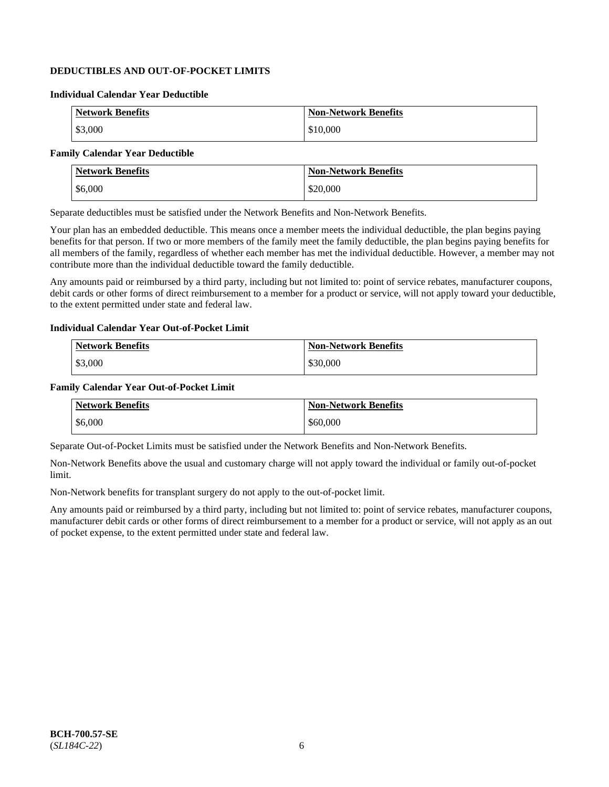## **DEDUCTIBLES AND OUT-OF-POCKET LIMITS**

### **Individual Calendar Year Deductible**

| <b>Network Benefits</b> | <b>Non-Network Benefits</b> |
|-------------------------|-----------------------------|
| \$3,000                 | \$10,000                    |

## **Family Calendar Year Deductible**

| <b>Network Benefits</b> | <b>Non-Network Benefits</b> |
|-------------------------|-----------------------------|
| \$6,000                 | \$20,000                    |

Separate deductibles must be satisfied under the Network Benefits and Non-Network Benefits.

Your plan has an embedded deductible. This means once a member meets the individual deductible, the plan begins paying benefits for that person. If two or more members of the family meet the family deductible, the plan begins paying benefits for all members of the family, regardless of whether each member has met the individual deductible. However, a member may not contribute more than the individual deductible toward the family deductible.

Any amounts paid or reimbursed by a third party, including but not limited to: point of service rebates, manufacturer coupons, debit cards or other forms of direct reimbursement to a member for a product or service, will not apply toward your deductible, to the extent permitted under state and federal law.

#### **Individual Calendar Year Out-of-Pocket Limit**

| <b>Network Benefits</b> | <b>Non-Network Benefits</b> |
|-------------------------|-----------------------------|
| \$3,000                 | \$30,000                    |

#### **Family Calendar Year Out-of-Pocket Limit**

| <b>Network Benefits</b> | <b>Non-Network Benefits</b> |
|-------------------------|-----------------------------|
| \$6,000                 | \$60,000                    |

Separate Out-of-Pocket Limits must be satisfied under the Network Benefits and Non-Network Benefits.

Non-Network Benefits above the usual and customary charge will not apply toward the individual or family out-of-pocket limit.

Non-Network benefits for transplant surgery do not apply to the out-of-pocket limit.

Any amounts paid or reimbursed by a third party, including but not limited to: point of service rebates, manufacturer coupons, manufacturer debit cards or other forms of direct reimbursement to a member for a product or service, will not apply as an out of pocket expense, to the extent permitted under state and federal law.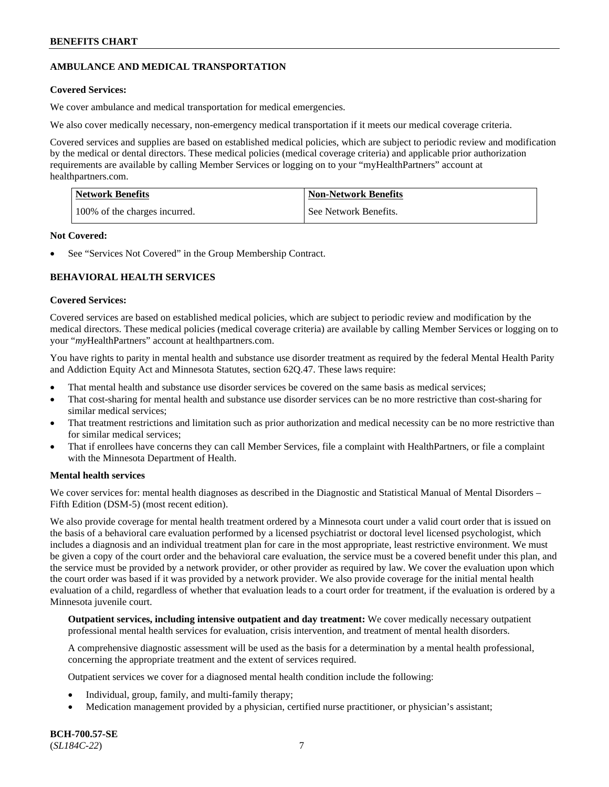## **AMBULANCE AND MEDICAL TRANSPORTATION**

#### **Covered Services:**

We cover ambulance and medical transportation for medical emergencies.

We also cover medically necessary, non-emergency medical transportation if it meets our medical coverage criteria.

Covered services and supplies are based on established medical policies, which are subject to periodic review and modification by the medical or dental directors. These medical policies (medical coverage criteria) and applicable prior authorization requirements are available by calling Member Services or logging on to your "myHealthPartners" account at [healthpartners.com.](https://www.healthpartners.com/hp/index.html)

| Network Benefits              | <b>Non-Network Benefits</b> |
|-------------------------------|-----------------------------|
| 100% of the charges incurred. | See Network Benefits.       |

#### **Not Covered:**

See "Services Not Covered" in the Group Membership Contract.

## **BEHAVIORAL HEALTH SERVICES**

#### **Covered Services:**

Covered services are based on established medical policies, which are subject to periodic review and modification by the medical directors. These medical policies (medical coverage criteria) are available by calling Member Services or logging on to your "*my*HealthPartners" account at [healthpartners.com.](http://www.healthpartners.com/)

You have rights to parity in mental health and substance use disorder treatment as required by the federal Mental Health Parity and Addiction Equity Act and Minnesota Statutes, section 62Q.47. These laws require:

- That mental health and substance use disorder services be covered on the same basis as medical services;
- That cost-sharing for mental health and substance use disorder services can be no more restrictive than cost-sharing for similar medical services;
- That treatment restrictions and limitation such as prior authorization and medical necessity can be no more restrictive than for similar medical services;
- That if enrollees have concerns they can call Member Services, file a complaint with HealthPartners, or file a complaint with the Minnesota Department of Health.

### **Mental health services**

We cover services for: mental health diagnoses as described in the Diagnostic and Statistical Manual of Mental Disorders – Fifth Edition (DSM-5) (most recent edition).

We also provide coverage for mental health treatment ordered by a Minnesota court under a valid court order that is issued on the basis of a behavioral care evaluation performed by a licensed psychiatrist or doctoral level licensed psychologist, which includes a diagnosis and an individual treatment plan for care in the most appropriate, least restrictive environment. We must be given a copy of the court order and the behavioral care evaluation, the service must be a covered benefit under this plan, and the service must be provided by a network provider, or other provider as required by law. We cover the evaluation upon which the court order was based if it was provided by a network provider. We also provide coverage for the initial mental health evaluation of a child, regardless of whether that evaluation leads to a court order for treatment, if the evaluation is ordered by a Minnesota juvenile court.

**Outpatient services, including intensive outpatient and day treatment:** We cover medically necessary outpatient professional mental health services for evaluation, crisis intervention, and treatment of mental health disorders.

A comprehensive diagnostic assessment will be used as the basis for a determination by a mental health professional, concerning the appropriate treatment and the extent of services required.

Outpatient services we cover for a diagnosed mental health condition include the following:

- Individual, group, family, and multi-family therapy;
- Medication management provided by a physician, certified nurse practitioner, or physician's assistant;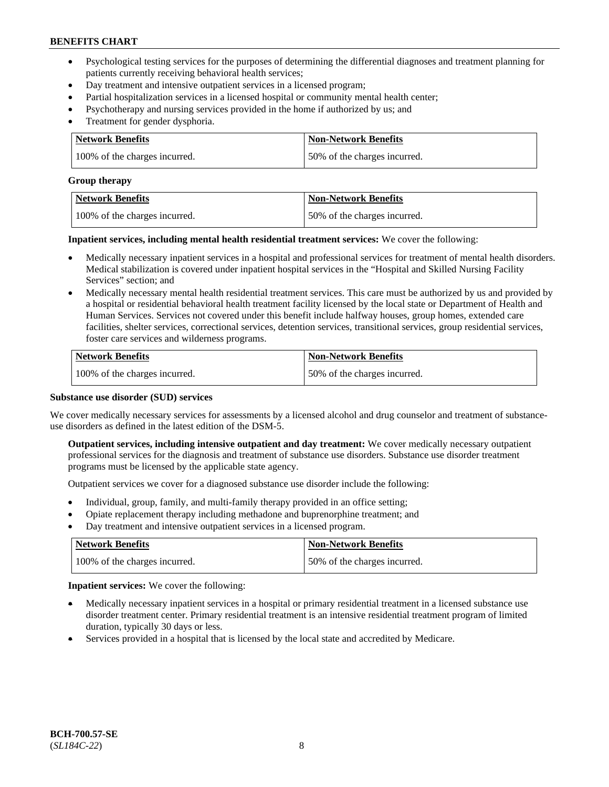- Psychological testing services for the purposes of determining the differential diagnoses and treatment planning for patients currently receiving behavioral health services;
- Day treatment and intensive outpatient services in a licensed program;
- Partial hospitalization services in a licensed hospital or community mental health center;
- Psychotherapy and nursing services provided in the home if authorized by us; and
- Treatment for gender dysphoria.

| Network Benefits              | <b>Non-Network Benefits</b>  |
|-------------------------------|------------------------------|
| 100% of the charges incurred. | 50% of the charges incurred. |

#### **Group therapy**

| Network Benefits              | <b>Non-Network Benefits</b>  |
|-------------------------------|------------------------------|
| 100% of the charges incurred. | 50% of the charges incurred. |

**Inpatient services, including mental health residential treatment services:** We cover the following:

- Medically necessary inpatient services in a hospital and professional services for treatment of mental health disorders. Medical stabilization is covered under inpatient hospital services in the "Hospital and Skilled Nursing Facility Services" section; and
- Medically necessary mental health residential treatment services. This care must be authorized by us and provided by a hospital or residential behavioral health treatment facility licensed by the local state or Department of Health and Human Services. Services not covered under this benefit include halfway houses, group homes, extended care facilities, shelter services, correctional services, detention services, transitional services, group residential services, foster care services and wilderness programs.

| Network Benefits              | <b>Non-Network Benefits</b>  |
|-------------------------------|------------------------------|
| 100% of the charges incurred. | 50% of the charges incurred. |

#### **Substance use disorder (SUD) services**

We cover medically necessary services for assessments by a licensed alcohol and drug counselor and treatment of substanceuse disorders as defined in the latest edition of the DSM-5.

**Outpatient services, including intensive outpatient and day treatment:** We cover medically necessary outpatient professional services for the diagnosis and treatment of substance use disorders. Substance use disorder treatment programs must be licensed by the applicable state agency.

Outpatient services we cover for a diagnosed substance use disorder include the following:

- Individual, group, family, and multi-family therapy provided in an office setting;
- Opiate replacement therapy including methadone and buprenorphine treatment; and
- Day treatment and intensive outpatient services in a licensed program.

| Network Benefits              | <b>Non-Network Benefits</b>  |
|-------------------------------|------------------------------|
| 100% of the charges incurred. | 50% of the charges incurred. |

**Inpatient services:** We cover the following:

- Medically necessary inpatient services in a hospital or primary residential treatment in a licensed substance use disorder treatment center. Primary residential treatment is an intensive residential treatment program of limited duration, typically 30 days or less.
- Services provided in a hospital that is licensed by the local state and accredited by Medicare.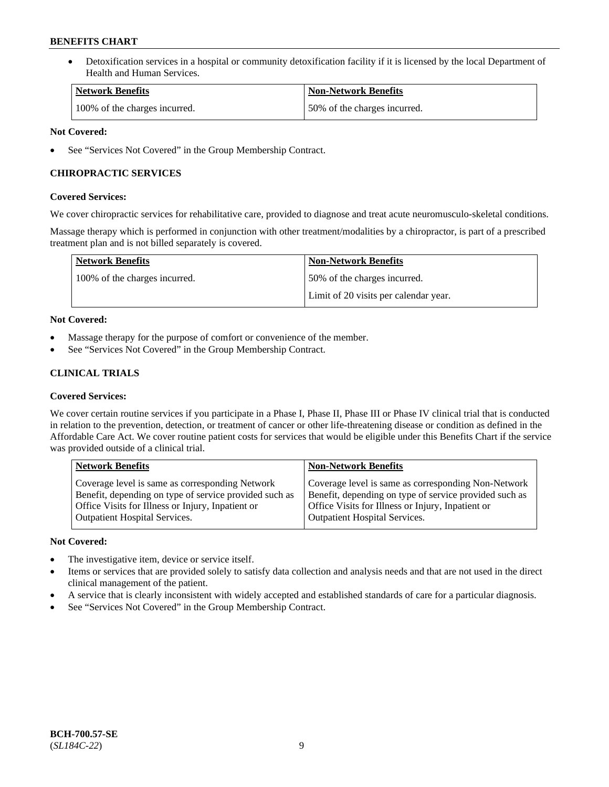• Detoxification services in a hospital or community detoxification facility if it is licensed by the local Department of Health and Human Services.

| <b>Network Benefits</b>       | <b>Non-Network Benefits</b>  |
|-------------------------------|------------------------------|
| 100% of the charges incurred. | 50% of the charges incurred. |

### **Not Covered:**

See "Services Not Covered" in the Group Membership Contract.

## **CHIROPRACTIC SERVICES**

### **Covered Services:**

We cover chiropractic services for rehabilitative care, provided to diagnose and treat acute neuromusculo-skeletal conditions.

Massage therapy which is performed in conjunction with other treatment/modalities by a chiropractor, is part of a prescribed treatment plan and is not billed separately is covered.

| <b>Network Benefits</b>       | <b>Non-Network Benefits</b>           |
|-------------------------------|---------------------------------------|
| 100% of the charges incurred. | 50% of the charges incurred.          |
|                               | Limit of 20 visits per calendar year. |

### **Not Covered:**

- Massage therapy for the purpose of comfort or convenience of the member.
- See "Services Not Covered" in the Group Membership Contract.

## **CLINICAL TRIALS**

### **Covered Services:**

We cover certain routine services if you participate in a Phase I, Phase II, Phase III or Phase IV clinical trial that is conducted in relation to the prevention, detection, or treatment of cancer or other life-threatening disease or condition as defined in the Affordable Care Act. We cover routine patient costs for services that would be eligible under this Benefits Chart if the service was provided outside of a clinical trial.

| <b>Network Benefits</b>                                | <b>Non-Network Benefits</b>                            |
|--------------------------------------------------------|--------------------------------------------------------|
| Coverage level is same as corresponding Network        | Coverage level is same as corresponding Non-Network    |
| Benefit, depending on type of service provided such as | Benefit, depending on type of service provided such as |
| Office Visits for Illness or Injury, Inpatient or      | Office Visits for Illness or Injury, Inpatient or      |
| Outpatient Hospital Services.                          | Outpatient Hospital Services.                          |

### **Not Covered:**

- The investigative item, device or service itself.
- Items or services that are provided solely to satisfy data collection and analysis needs and that are not used in the direct clinical management of the patient.
- A service that is clearly inconsistent with widely accepted and established standards of care for a particular diagnosis.
- See "Services Not Covered" in the Group Membership Contract.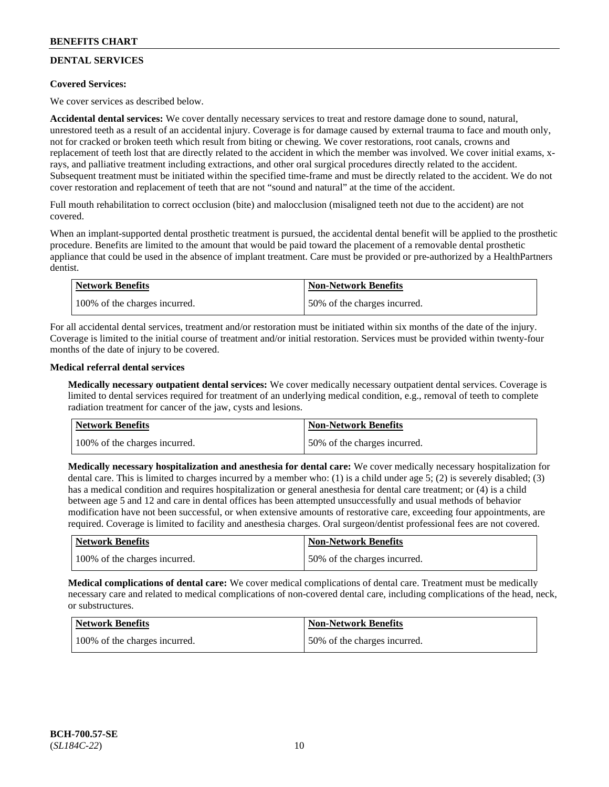## **DENTAL SERVICES**

### **Covered Services:**

We cover services as described below.

**Accidental dental services:** We cover dentally necessary services to treat and restore damage done to sound, natural, unrestored teeth as a result of an accidental injury. Coverage is for damage caused by external trauma to face and mouth only, not for cracked or broken teeth which result from biting or chewing. We cover restorations, root canals, crowns and replacement of teeth lost that are directly related to the accident in which the member was involved. We cover initial exams, xrays, and palliative treatment including extractions, and other oral surgical procedures directly related to the accident. Subsequent treatment must be initiated within the specified time-frame and must be directly related to the accident. We do not cover restoration and replacement of teeth that are not "sound and natural" at the time of the accident.

Full mouth rehabilitation to correct occlusion (bite) and malocclusion (misaligned teeth not due to the accident) are not covered.

When an implant-supported dental prosthetic treatment is pursued, the accidental dental benefit will be applied to the prosthetic procedure. Benefits are limited to the amount that would be paid toward the placement of a removable dental prosthetic appliance that could be used in the absence of implant treatment. Care must be provided or pre-authorized by a HealthPartners dentist.

| Network Benefits              | <b>Non-Network Benefits</b>  |
|-------------------------------|------------------------------|
| 100% of the charges incurred. | 50% of the charges incurred. |

For all accidental dental services, treatment and/or restoration must be initiated within six months of the date of the injury. Coverage is limited to the initial course of treatment and/or initial restoration. Services must be provided within twenty-four months of the date of injury to be covered.

### **Medical referral dental services**

**Medically necessary outpatient dental services:** We cover medically necessary outpatient dental services. Coverage is limited to dental services required for treatment of an underlying medical condition, e.g., removal of teeth to complete radiation treatment for cancer of the jaw, cysts and lesions.

| Network Benefits              | <b>Non-Network Benefits</b>  |
|-------------------------------|------------------------------|
| 100% of the charges incurred. | 50% of the charges incurred. |

**Medically necessary hospitalization and anesthesia for dental care:** We cover medically necessary hospitalization for dental care. This is limited to charges incurred by a member who: (1) is a child under age 5; (2) is severely disabled; (3) has a medical condition and requires hospitalization or general anesthesia for dental care treatment; or (4) is a child between age 5 and 12 and care in dental offices has been attempted unsuccessfully and usual methods of behavior modification have not been successful, or when extensive amounts of restorative care, exceeding four appointments, are required. Coverage is limited to facility and anesthesia charges. Oral surgeon/dentist professional fees are not covered.

| <b>Network Benefits</b>       | <b>Non-Network Benefits</b>  |
|-------------------------------|------------------------------|
| 100% of the charges incurred. | 50% of the charges incurred. |

**Medical complications of dental care:** We cover medical complications of dental care. Treatment must be medically necessary care and related to medical complications of non-covered dental care, including complications of the head, neck, or substructures.

| Network Benefits              | <b>Non-Network Benefits</b>  |
|-------------------------------|------------------------------|
| 100% of the charges incurred. | 50% of the charges incurred. |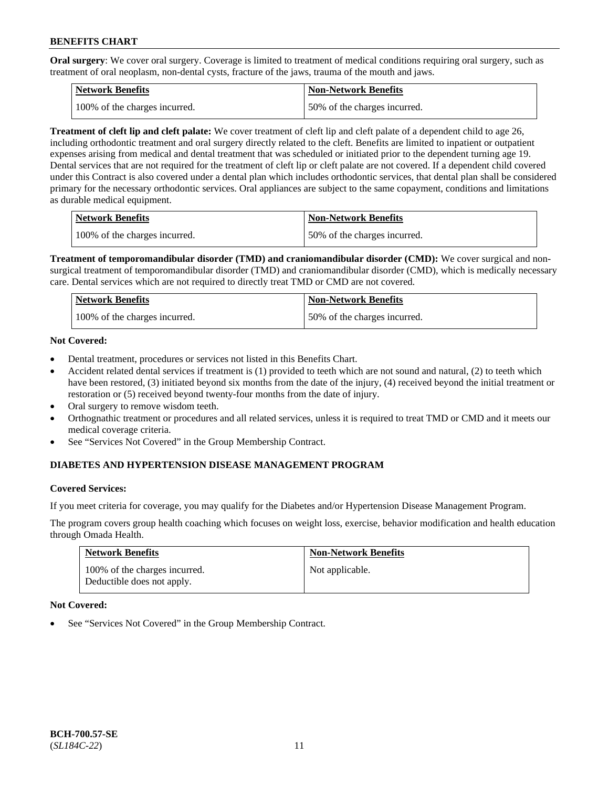**Oral surgery**: We cover oral surgery. Coverage is limited to treatment of medical conditions requiring oral surgery, such as treatment of oral neoplasm, non-dental cysts, fracture of the jaws, trauma of the mouth and jaws.

| Network Benefits              | <b>Non-Network Benefits</b>  |
|-------------------------------|------------------------------|
| 100% of the charges incurred. | 50% of the charges incurred. |

**Treatment of cleft lip and cleft palate:** We cover treatment of cleft lip and cleft palate of a dependent child to age 26, including orthodontic treatment and oral surgery directly related to the cleft. Benefits are limited to inpatient or outpatient expenses arising from medical and dental treatment that was scheduled or initiated prior to the dependent turning age 19. Dental services that are not required for the treatment of cleft lip or cleft palate are not covered. If a dependent child covered under this Contract is also covered under a dental plan which includes orthodontic services, that dental plan shall be considered primary for the necessary orthodontic services. Oral appliances are subject to the same copayment, conditions and limitations as durable medical equipment.

| <b>Network Benefits</b>       | <b>Non-Network Benefits</b>  |
|-------------------------------|------------------------------|
| 100% of the charges incurred. | 50% of the charges incurred. |

**Treatment of temporomandibular disorder (TMD) and craniomandibular disorder (CMD):** We cover surgical and nonsurgical treatment of temporomandibular disorder (TMD) and craniomandibular disorder (CMD), which is medically necessary care. Dental services which are not required to directly treat TMD or CMD are not covered.

| Network Benefits              | <b>Non-Network Benefits</b>  |
|-------------------------------|------------------------------|
| 100% of the charges incurred. | 50% of the charges incurred. |

### **Not Covered:**

- Dental treatment, procedures or services not listed in this Benefits Chart.
- Accident related dental services if treatment is (1) provided to teeth which are not sound and natural, (2) to teeth which have been restored, (3) initiated beyond six months from the date of the injury, (4) received beyond the initial treatment or restoration or (5) received beyond twenty-four months from the date of injury.
- Oral surgery to remove wisdom teeth.
- Orthognathic treatment or procedures and all related services, unless it is required to treat TMD or CMD and it meets our medical coverage criteria.
- See "Services Not Covered" in the Group Membership Contract.

### **DIABETES AND HYPERTENSION DISEASE MANAGEMENT PROGRAM**

#### **Covered Services:**

If you meet criteria for coverage, you may qualify for the Diabetes and/or Hypertension Disease Management Program.

The program covers group health coaching which focuses on weight loss, exercise, behavior modification and health education through Omada Health.

| <b>Network Benefits</b>                                     | <b>Non-Network Benefits</b> |
|-------------------------------------------------------------|-----------------------------|
| 100% of the charges incurred.<br>Deductible does not apply. | Not applicable.             |

#### **Not Covered:**

See "Services Not Covered" in the Group Membership Contract.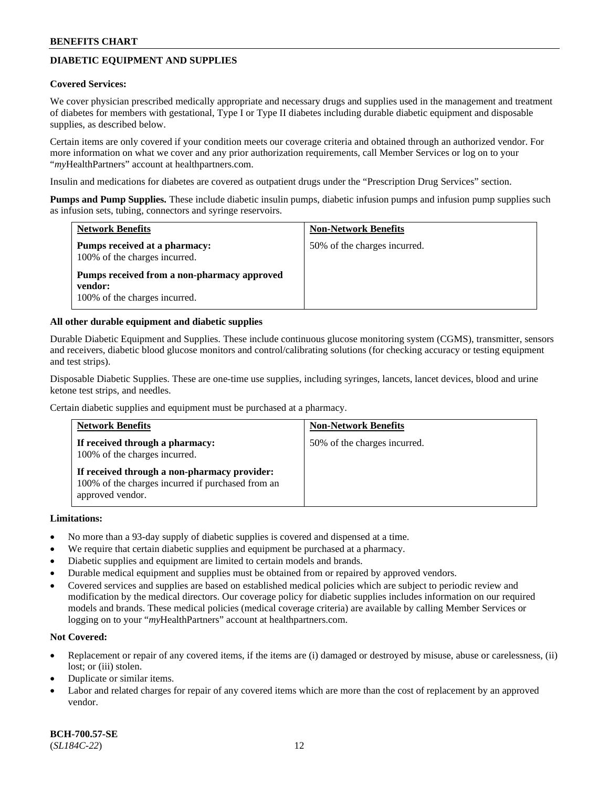## **DIABETIC EQUIPMENT AND SUPPLIES**

#### **Covered Services:**

We cover physician prescribed medically appropriate and necessary drugs and supplies used in the management and treatment of diabetes for members with gestational, Type I or Type II diabetes including durable diabetic equipment and disposable supplies, as described below.

Certain items are only covered if your condition meets our coverage criteria and obtained through an authorized vendor. For more information on what we cover and any prior authorization requirements, call Member Services or log on to your "*my*HealthPartners" account at [healthpartners.com.](http://www.healthpartners.com/)

Insulin and medications for diabetes are covered as outpatient drugs under the "Prescription Drug Services" section.

**Pumps and Pump Supplies.** These include diabetic insulin pumps, diabetic infusion pumps and infusion pump supplies such as infusion sets, tubing, connectors and syringe reservoirs.

| <b>Network Benefits</b>                                                                 | <b>Non-Network Benefits</b>  |
|-----------------------------------------------------------------------------------------|------------------------------|
| Pumps received at a pharmacy:<br>100% of the charges incurred.                          | 50% of the charges incurred. |
| Pumps received from a non-pharmacy approved<br>vendor:<br>100% of the charges incurred. |                              |

#### **All other durable equipment and diabetic supplies**

Durable Diabetic Equipment and Supplies. These include continuous glucose monitoring system (CGMS), transmitter, sensors and receivers, diabetic blood glucose monitors and control/calibrating solutions (for checking accuracy or testing equipment and test strips).

Disposable Diabetic Supplies. These are one-time use supplies, including syringes, lancets, lancet devices, blood and urine ketone test strips, and needles.

Certain diabetic supplies and equipment must be purchased at a pharmacy.

| <b>Network Benefits</b>                                                                                               | <b>Non-Network Benefits</b>  |
|-----------------------------------------------------------------------------------------------------------------------|------------------------------|
| If received through a pharmacy:<br>100% of the charges incurred.                                                      | 50% of the charges incurred. |
| If received through a non-pharmacy provider:<br>100% of the charges incurred if purchased from an<br>approved vendor. |                              |

#### **Limitations:**

- No more than a 93-day supply of diabetic supplies is covered and dispensed at a time.
- We require that certain diabetic supplies and equipment be purchased at a pharmacy.
- Diabetic supplies and equipment are limited to certain models and brands.
- Durable medical equipment and supplies must be obtained from or repaired by approved vendors.
- Covered services and supplies are based on established medical policies which are subject to periodic review and modification by the medical directors. Our coverage policy for diabetic supplies includes information on our required models and brands. These medical policies (medical coverage criteria) are available by calling Member Services or logging on to your "*my*HealthPartners" account at [healthpartners.com.](http://www.healthpartners.com/)

### **Not Covered:**

- Replacement or repair of any covered items, if the items are (i) damaged or destroyed by misuse, abuse or carelessness, (ii) lost; or (iii) stolen.
- Duplicate or similar items.
- Labor and related charges for repair of any covered items which are more than the cost of replacement by an approved vendor.

**BCH-700.57-SE** (*SL184C-22*) 12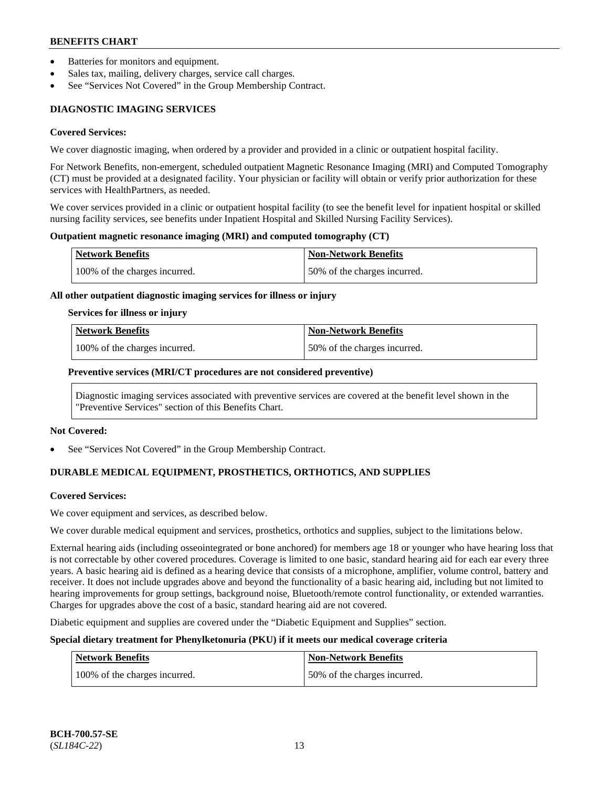- Batteries for monitors and equipment.
- Sales tax, mailing, delivery charges, service call charges.
- See "Services Not Covered" in the Group Membership Contract.

## **DIAGNOSTIC IMAGING SERVICES**

#### **Covered Services:**

We cover diagnostic imaging, when ordered by a provider and provided in a clinic or outpatient hospital facility.

For Network Benefits, non-emergent, scheduled outpatient Magnetic Resonance Imaging (MRI) and Computed Tomography (CT) must be provided at a designated facility. Your physician or facility will obtain or verify prior authorization for these services with HealthPartners, as needed.

We cover services provided in a clinic or outpatient hospital facility (to see the benefit level for inpatient hospital or skilled nursing facility services, see benefits under Inpatient Hospital and Skilled Nursing Facility Services).

#### **Outpatient magnetic resonance imaging (MRI) and computed tomography (CT)**

| Network Benefits              | <b>Non-Network Benefits</b>  |
|-------------------------------|------------------------------|
| 100% of the charges incurred. | 50% of the charges incurred. |

#### **All other outpatient diagnostic imaging services for illness or injury**

#### **Services for illness or injury**

| Network Benefits              | <b>Non-Network Benefits</b>  |
|-------------------------------|------------------------------|
| 100% of the charges incurred. | 50% of the charges incurred. |

#### **Preventive services (MRI/CT procedures are not considered preventive)**

Diagnostic imaging services associated with preventive services are covered at the benefit level shown in the "Preventive Services" section of this Benefits Chart.

#### **Not Covered:**

See "Services Not Covered" in the Group Membership Contract.

## **DURABLE MEDICAL EQUIPMENT, PROSTHETICS, ORTHOTICS, AND SUPPLIES**

#### **Covered Services:**

We cover equipment and services, as described below.

We cover durable medical equipment and services, prosthetics, orthotics and supplies, subject to the limitations below.

External hearing aids (including osseointegrated or bone anchored) for members age 18 or younger who have hearing loss that is not correctable by other covered procedures. Coverage is limited to one basic, standard hearing aid for each ear every three years. A basic hearing aid is defined as a hearing device that consists of a microphone, amplifier, volume control, battery and receiver. It does not include upgrades above and beyond the functionality of a basic hearing aid, including but not limited to hearing improvements for group settings, background noise, Bluetooth/remote control functionality, or extended warranties. Charges for upgrades above the cost of a basic, standard hearing aid are not covered.

Diabetic equipment and supplies are covered under the "Diabetic Equipment and Supplies" section.

### **Special dietary treatment for Phenylketonuria (PKU) if it meets our medical coverage criteria**

| <b>Network Benefits</b>       | Non-Network Benefits         |
|-------------------------------|------------------------------|
| 100% of the charges incurred. | 50% of the charges incurred. |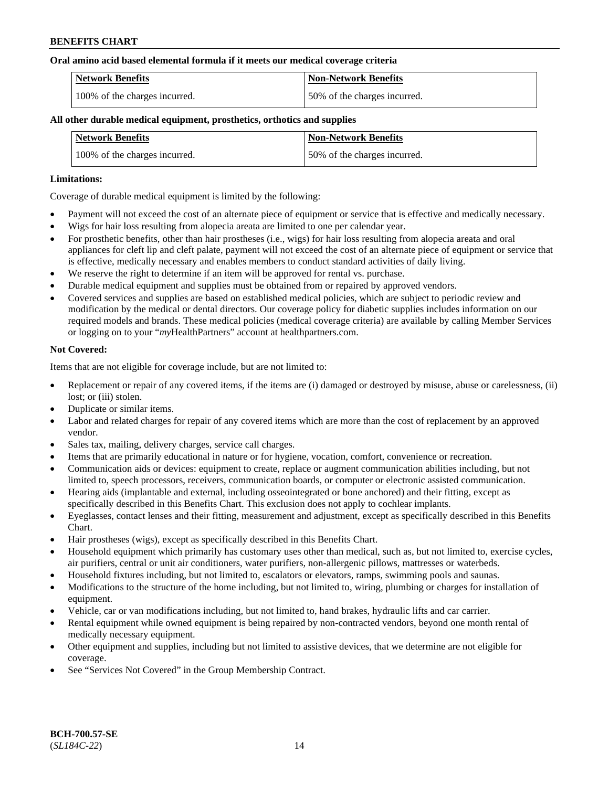#### **Oral amino acid based elemental formula if it meets our medical coverage criteria**

| Network Benefits              | <b>Non-Network Benefits</b>  |
|-------------------------------|------------------------------|
| 100% of the charges incurred. | 50% of the charges incurred. |

#### **All other durable medical equipment, prosthetics, orthotics and supplies**

| <b>Network Benefits</b>       | <b>Non-Network Benefits</b>  |
|-------------------------------|------------------------------|
| 100% of the charges incurred. | 50% of the charges incurred. |

#### **Limitations:**

Coverage of durable medical equipment is limited by the following:

- Payment will not exceed the cost of an alternate piece of equipment or service that is effective and medically necessary.
- Wigs for hair loss resulting from alopecia areata are limited to one per calendar year.
- For prosthetic benefits, other than hair prostheses (i.e., wigs) for hair loss resulting from alopecia areata and oral appliances for cleft lip and cleft palate, payment will not exceed the cost of an alternate piece of equipment or service that is effective, medically necessary and enables members to conduct standard activities of daily living.
- We reserve the right to determine if an item will be approved for rental vs. purchase.
- Durable medical equipment and supplies must be obtained from or repaired by approved vendors.
- Covered services and supplies are based on established medical policies, which are subject to periodic review and modification by the medical or dental directors. Our coverage policy for diabetic supplies includes information on our required models and brands. These medical policies (medical coverage criteria) are available by calling Member Services or logging on to your "*my*HealthPartners" account a[t healthpartners.com.](https://www.healthpartners.com/hp/index.html)

#### **Not Covered:**

Items that are not eligible for coverage include, but are not limited to:

- Replacement or repair of any covered items, if the items are (i) damaged or destroyed by misuse, abuse or carelessness, (ii) lost; or (iii) stolen.
- Duplicate or similar items.
- Labor and related charges for repair of any covered items which are more than the cost of replacement by an approved vendor.
- Sales tax, mailing, delivery charges, service call charges.
- Items that are primarily educational in nature or for hygiene, vocation, comfort, convenience or recreation.
- Communication aids or devices: equipment to create, replace or augment communication abilities including, but not limited to, speech processors, receivers, communication boards, or computer or electronic assisted communication.
- Hearing aids (implantable and external, including osseointegrated or bone anchored) and their fitting, except as specifically described in this Benefits Chart. This exclusion does not apply to cochlear implants.
- Eyeglasses, contact lenses and their fitting, measurement and adjustment, except as specifically described in this Benefits Chart.
- Hair prostheses (wigs), except as specifically described in this Benefits Chart.
- Household equipment which primarily has customary uses other than medical, such as, but not limited to, exercise cycles, air purifiers, central or unit air conditioners, water purifiers, non-allergenic pillows, mattresses or waterbeds.
- Household fixtures including, but not limited to, escalators or elevators, ramps, swimming pools and saunas.
- Modifications to the structure of the home including, but not limited to, wiring, plumbing or charges for installation of equipment.
- Vehicle, car or van modifications including, but not limited to, hand brakes, hydraulic lifts and car carrier.
- Rental equipment while owned equipment is being repaired by non-contracted vendors, beyond one month rental of medically necessary equipment.
- Other equipment and supplies, including but not limited to assistive devices, that we determine are not eligible for coverage.
- See "Services Not Covered" in the Group Membership Contract.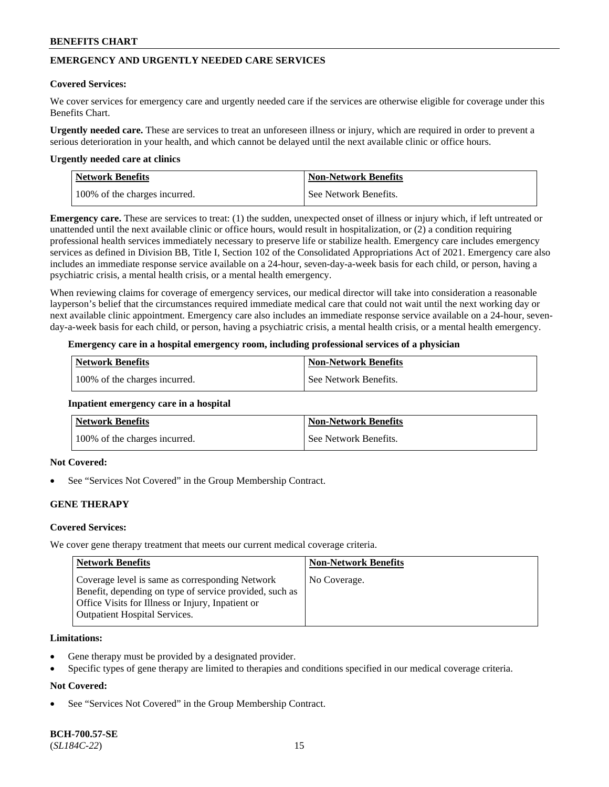## **EMERGENCY AND URGENTLY NEEDED CARE SERVICES**

#### **Covered Services:**

We cover services for emergency care and urgently needed care if the services are otherwise eligible for coverage under this Benefits Chart.

**Urgently needed care.** These are services to treat an unforeseen illness or injury, which are required in order to prevent a serious deterioration in your health, and which cannot be delayed until the next available clinic or office hours.

#### **Urgently needed care at clinics**

| Network Benefits              | <b>Non-Network Benefits</b> |
|-------------------------------|-----------------------------|
| 100% of the charges incurred. | See Network Benefits.       |

**Emergency care.** These are services to treat: (1) the sudden, unexpected onset of illness or injury which, if left untreated or unattended until the next available clinic or office hours, would result in hospitalization, or (2) a condition requiring professional health services immediately necessary to preserve life or stabilize health. Emergency care includes emergency services as defined in Division BB, Title I, Section 102 of the Consolidated Appropriations Act of 2021. Emergency care also includes an immediate response service available on a 24-hour, seven-day-a-week basis for each child, or person, having a psychiatric crisis, a mental health crisis, or a mental health emergency.

When reviewing claims for coverage of emergency services, our medical director will take into consideration a reasonable layperson's belief that the circumstances required immediate medical care that could not wait until the next working day or next available clinic appointment. Emergency care also includes an immediate response service available on a 24-hour, sevenday-a-week basis for each child, or person, having a psychiatric crisis, a mental health crisis, or a mental health emergency.

#### **Emergency care in a hospital emergency room, including professional services of a physician**

| <b>Network Benefits</b>       | <b>Non-Network Benefits</b> |
|-------------------------------|-----------------------------|
| 100% of the charges incurred. | See Network Benefits.       |

#### **Inpatient emergency care in a hospital**

| <b>Network Benefits</b>       | <b>Non-Network Benefits</b> |
|-------------------------------|-----------------------------|
| 100% of the charges incurred. | See Network Benefits.       |

### **Not Covered:**

See "Services Not Covered" in the Group Membership Contract.

### **GENE THERAPY**

### **Covered Services:**

We cover gene therapy treatment that meets our current medical coverage criteria.

| <b>Network Benefits</b>                                                                                                                                                                                 | <b>Non-Network Benefits</b> |
|---------------------------------------------------------------------------------------------------------------------------------------------------------------------------------------------------------|-----------------------------|
| Coverage level is same as corresponding Network<br>Benefit, depending on type of service provided, such as<br>Office Visits for Illness or Injury, Inpatient or<br><b>Outpatient Hospital Services.</b> | No Coverage.                |

#### **Limitations:**

- Gene therapy must be provided by a designated provider.
- Specific types of gene therapy are limited to therapies and conditions specified in our medical coverage criteria.

### **Not Covered:**

See "Services Not Covered" in the Group Membership Contract.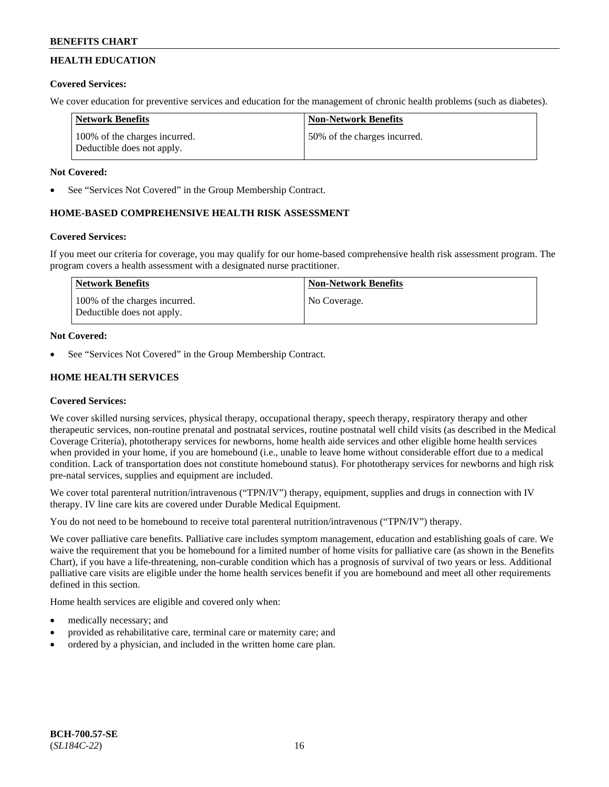## **HEALTH EDUCATION**

## **Covered Services:**

We cover education for preventive services and education for the management of chronic health problems (such as diabetes).

| <b>Network Benefits</b>                                     | <b>Non-Network Benefits</b>  |
|-------------------------------------------------------------|------------------------------|
| 100% of the charges incurred.<br>Deductible does not apply. | 50% of the charges incurred. |

## **Not Covered:**

See "Services Not Covered" in the Group Membership Contract.

## **HOME-BASED COMPREHENSIVE HEALTH RISK ASSESSMENT**

## **Covered Services:**

If you meet our criteria for coverage, you may qualify for our home-based comprehensive health risk assessment program. The program covers a health assessment with a designated nurse practitioner.

| Network Benefits                                            | <b>Non-Network Benefits</b> |
|-------------------------------------------------------------|-----------------------------|
| 100% of the charges incurred.<br>Deductible does not apply. | No Coverage.                |

## **Not Covered:**

See "Services Not Covered" in the Group Membership Contract.

## **HOME HEALTH SERVICES**

## **Covered Services:**

We cover skilled nursing services, physical therapy, occupational therapy, speech therapy, respiratory therapy and other therapeutic services, non-routine prenatal and postnatal services, routine postnatal well child visits (as described in the Medical Coverage Criteria), phototherapy services for newborns, home health aide services and other eligible home health services when provided in your home, if you are homebound (i.e., unable to leave home without considerable effort due to a medical condition. Lack of transportation does not constitute homebound status). For phototherapy services for newborns and high risk pre-natal services, supplies and equipment are included.

We cover total parenteral nutrition/intravenous ("TPN/IV") therapy, equipment, supplies and drugs in connection with IV therapy. IV line care kits are covered under Durable Medical Equipment.

You do not need to be homebound to receive total parenteral nutrition/intravenous ("TPN/IV") therapy.

We cover palliative care benefits. Palliative care includes symptom management, education and establishing goals of care. We waive the requirement that you be homebound for a limited number of home visits for palliative care (as shown in the Benefits Chart), if you have a life-threatening, non-curable condition which has a prognosis of survival of two years or less. Additional palliative care visits are eligible under the home health services benefit if you are homebound and meet all other requirements defined in this section.

Home health services are eligible and covered only when:

- medically necessary; and
- provided as rehabilitative care, terminal care or maternity care; and
- ordered by a physician, and included in the written home care plan.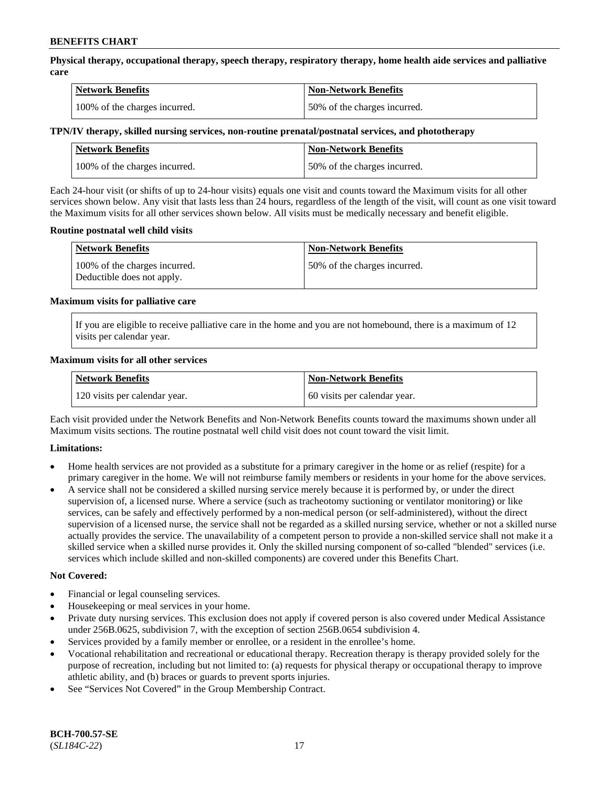**Physical therapy, occupational therapy, speech therapy, respiratory therapy, home health aide services and palliative care**

| <b>Network Benefits</b>       | <b>Non-Network Benefits</b>  |
|-------------------------------|------------------------------|
| 100% of the charges incurred. | 50% of the charges incurred. |

#### **TPN/IV therapy, skilled nursing services, non-routine prenatal/postnatal services, and phototherapy**

| Network Benefits              | <b>Non-Network Benefits</b>  |
|-------------------------------|------------------------------|
| 100% of the charges incurred. | 50% of the charges incurred. |

Each 24-hour visit (or shifts of up to 24-hour visits) equals one visit and counts toward the Maximum visits for all other services shown below. Any visit that lasts less than 24 hours, regardless of the length of the visit, will count as one visit toward the Maximum visits for all other services shown below. All visits must be medically necessary and benefit eligible.

#### **Routine postnatal well child visits**

| <b>Network Benefits</b>                                     | <b>Non-Network Benefits</b>  |
|-------------------------------------------------------------|------------------------------|
| 100% of the charges incurred.<br>Deductible does not apply. | 50% of the charges incurred. |

#### **Maximum visits for palliative care**

If you are eligible to receive palliative care in the home and you are not homebound, there is a maximum of 12 visits per calendar year.

#### **Maximum visits for all other services**

| <b>Network Benefits</b>       | <b>Non-Network Benefits</b>  |
|-------------------------------|------------------------------|
| 120 visits per calendar year. | 60 visits per calendar year. |

Each visit provided under the Network Benefits and Non-Network Benefits counts toward the maximums shown under all Maximum visits sections. The routine postnatal well child visit does not count toward the visit limit.

### **Limitations:**

- Home health services are not provided as a substitute for a primary caregiver in the home or as relief (respite) for a primary caregiver in the home. We will not reimburse family members or residents in your home for the above services.
- A service shall not be considered a skilled nursing service merely because it is performed by, or under the direct supervision of, a licensed nurse. Where a service (such as tracheotomy suctioning or ventilator monitoring) or like services, can be safely and effectively performed by a non-medical person (or self-administered), without the direct supervision of a licensed nurse, the service shall not be regarded as a skilled nursing service, whether or not a skilled nurse actually provides the service. The unavailability of a competent person to provide a non-skilled service shall not make it a skilled service when a skilled nurse provides it. Only the skilled nursing component of so-called "blended" services (i.e. services which include skilled and non-skilled components) are covered under this Benefits Chart.

#### **Not Covered:**

- Financial or legal counseling services.
- Housekeeping or meal services in your home.
- Private duty nursing services. This exclusion does not apply if covered person is also covered under Medical Assistance under 256B.0625, subdivision 7, with the exception of section 256B.0654 subdivision 4.
- Services provided by a family member or enrollee, or a resident in the enrollee's home.
- Vocational rehabilitation and recreational or educational therapy. Recreation therapy is therapy provided solely for the purpose of recreation, including but not limited to: (a) requests for physical therapy or occupational therapy to improve athletic ability, and (b) braces or guards to prevent sports injuries.
- See "Services Not Covered" in the Group Membership Contract.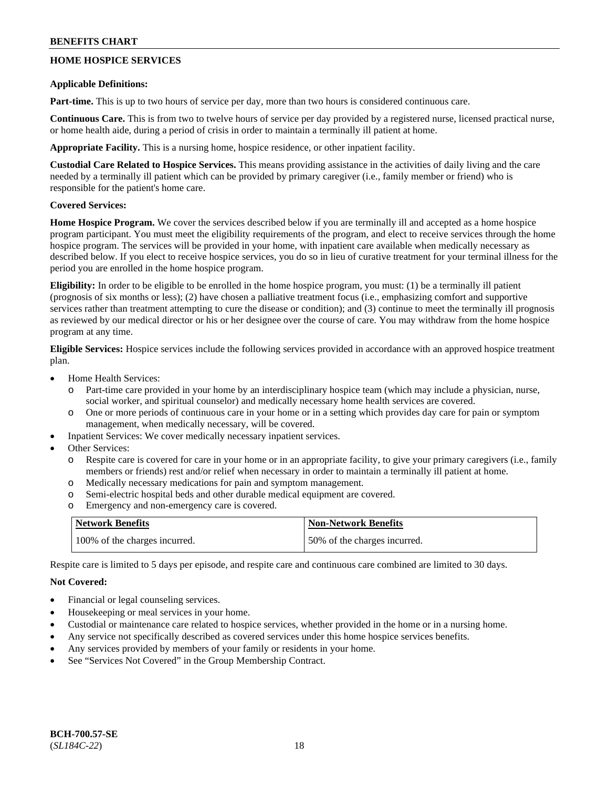## **HOME HOSPICE SERVICES**

#### **Applicable Definitions:**

**Part-time.** This is up to two hours of service per day, more than two hours is considered continuous care.

**Continuous Care.** This is from two to twelve hours of service per day provided by a registered nurse, licensed practical nurse, or home health aide, during a period of crisis in order to maintain a terminally ill patient at home.

**Appropriate Facility.** This is a nursing home, hospice residence, or other inpatient facility.

**Custodial Care Related to Hospice Services.** This means providing assistance in the activities of daily living and the care needed by a terminally ill patient which can be provided by primary caregiver (i.e., family member or friend) who is responsible for the patient's home care.

### **Covered Services:**

**Home Hospice Program.** We cover the services described below if you are terminally ill and accepted as a home hospice program participant. You must meet the eligibility requirements of the program, and elect to receive services through the home hospice program. The services will be provided in your home, with inpatient care available when medically necessary as described below. If you elect to receive hospice services, you do so in lieu of curative treatment for your terminal illness for the period you are enrolled in the home hospice program.

**Eligibility:** In order to be eligible to be enrolled in the home hospice program, you must: (1) be a terminally ill patient (prognosis of six months or less); (2) have chosen a palliative treatment focus (i.e., emphasizing comfort and supportive services rather than treatment attempting to cure the disease or condition); and (3) continue to meet the terminally ill prognosis as reviewed by our medical director or his or her designee over the course of care. You may withdraw from the home hospice program at any time.

**Eligible Services:** Hospice services include the following services provided in accordance with an approved hospice treatment plan.

- Home Health Services:
	- o Part-time care provided in your home by an interdisciplinary hospice team (which may include a physician, nurse, social worker, and spiritual counselor) and medically necessary home health services are covered.
	- o One or more periods of continuous care in your home or in a setting which provides day care for pain or symptom management, when medically necessary, will be covered.
- Inpatient Services: We cover medically necessary inpatient services.
- Other Services:
	- o Respite care is covered for care in your home or in an appropriate facility, to give your primary caregivers (i.e., family members or friends) rest and/or relief when necessary in order to maintain a terminally ill patient at home.
	- o Medically necessary medications for pain and symptom management.
	- o Semi-electric hospital beds and other durable medical equipment are covered.
	- o Emergency and non-emergency care is covered.

| <b>Network Benefits</b>       | <b>Non-Network Benefits</b>  |
|-------------------------------|------------------------------|
| 100% of the charges incurred. | 50% of the charges incurred. |

Respite care is limited to 5 days per episode, and respite care and continuous care combined are limited to 30 days.

### **Not Covered:**

- Financial or legal counseling services.
- Housekeeping or meal services in your home.
- Custodial or maintenance care related to hospice services, whether provided in the home or in a nursing home.
- Any service not specifically described as covered services under this home hospice services benefits.
- Any services provided by members of your family or residents in your home.
- See "Services Not Covered" in the Group Membership Contract.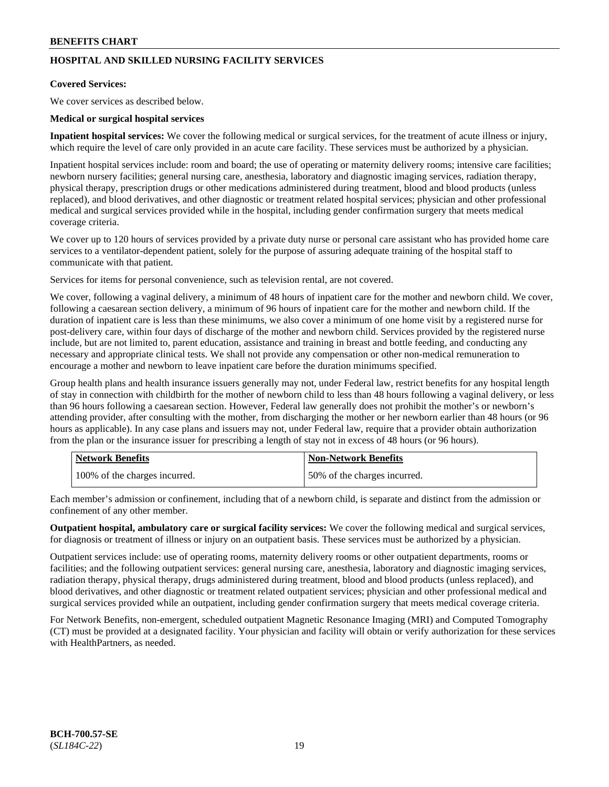## **HOSPITAL AND SKILLED NURSING FACILITY SERVICES**

### **Covered Services:**

We cover services as described below.

#### **Medical or surgical hospital services**

**Inpatient hospital services:** We cover the following medical or surgical services, for the treatment of acute illness or injury, which require the level of care only provided in an acute care facility. These services must be authorized by a physician.

Inpatient hospital services include: room and board; the use of operating or maternity delivery rooms; intensive care facilities; newborn nursery facilities; general nursing care, anesthesia, laboratory and diagnostic imaging services, radiation therapy, physical therapy, prescription drugs or other medications administered during treatment, blood and blood products (unless replaced), and blood derivatives, and other diagnostic or treatment related hospital services; physician and other professional medical and surgical services provided while in the hospital, including gender confirmation surgery that meets medical coverage criteria.

We cover up to 120 hours of services provided by a private duty nurse or personal care assistant who has provided home care services to a ventilator-dependent patient, solely for the purpose of assuring adequate training of the hospital staff to communicate with that patient.

Services for items for personal convenience, such as television rental, are not covered.

We cover, following a vaginal delivery, a minimum of 48 hours of inpatient care for the mother and newborn child. We cover, following a caesarean section delivery, a minimum of 96 hours of inpatient care for the mother and newborn child. If the duration of inpatient care is less than these minimums, we also cover a minimum of one home visit by a registered nurse for post-delivery care, within four days of discharge of the mother and newborn child. Services provided by the registered nurse include, but are not limited to, parent education, assistance and training in breast and bottle feeding, and conducting any necessary and appropriate clinical tests. We shall not provide any compensation or other non-medical remuneration to encourage a mother and newborn to leave inpatient care before the duration minimums specified.

Group health plans and health insurance issuers generally may not, under Federal law, restrict benefits for any hospital length of stay in connection with childbirth for the mother of newborn child to less than 48 hours following a vaginal delivery, or less than 96 hours following a caesarean section. However, Federal law generally does not prohibit the mother's or newborn's attending provider, after consulting with the mother, from discharging the mother or her newborn earlier than 48 hours (or 96 hours as applicable). In any case plans and issuers may not, under Federal law, require that a provider obtain authorization from the plan or the insurance issuer for prescribing a length of stay not in excess of 48 hours (or 96 hours).

| <b>Network Benefits</b>       | <b>Non-Network Benefits</b>  |
|-------------------------------|------------------------------|
| 100% of the charges incurred. | 50% of the charges incurred. |

Each member's admission or confinement, including that of a newborn child, is separate and distinct from the admission or confinement of any other member.

**Outpatient hospital, ambulatory care or surgical facility services:** We cover the following medical and surgical services, for diagnosis or treatment of illness or injury on an outpatient basis. These services must be authorized by a physician.

Outpatient services include: use of operating rooms, maternity delivery rooms or other outpatient departments, rooms or facilities; and the following outpatient services: general nursing care, anesthesia, laboratory and diagnostic imaging services, radiation therapy, physical therapy, drugs administered during treatment, blood and blood products (unless replaced), and blood derivatives, and other diagnostic or treatment related outpatient services; physician and other professional medical and surgical services provided while an outpatient, including gender confirmation surgery that meets medical coverage criteria.

For Network Benefits, non-emergent, scheduled outpatient Magnetic Resonance Imaging (MRI) and Computed Tomography (CT) must be provided at a designated facility. Your physician and facility will obtain or verify authorization for these services with HealthPartners, as needed.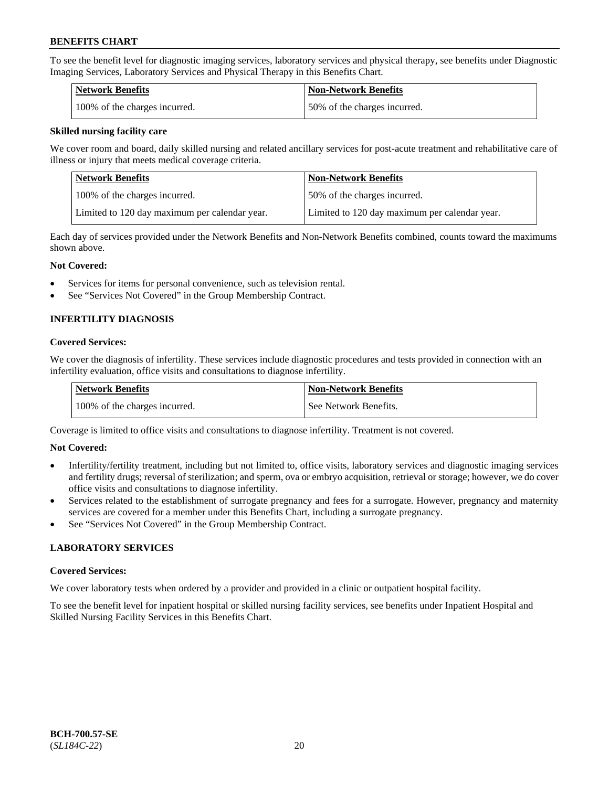To see the benefit level for diagnostic imaging services, laboratory services and physical therapy, see benefits under Diagnostic Imaging Services, Laboratory Services and Physical Therapy in this Benefits Chart.

| Network Benefits              | Non-Network Benefits         |
|-------------------------------|------------------------------|
| 100% of the charges incurred. | 50% of the charges incurred. |

#### **Skilled nursing facility care**

We cover room and board, daily skilled nursing and related ancillary services for post-acute treatment and rehabilitative care of illness or injury that meets medical coverage criteria.

| Network Benefits                              | <b>Non-Network Benefits</b>                   |
|-----------------------------------------------|-----------------------------------------------|
| 100\% of the charges incurred.                | 50% of the charges incurred.                  |
| Limited to 120 day maximum per calendar year. | Limited to 120 day maximum per calendar year. |

Each day of services provided under the Network Benefits and Non-Network Benefits combined, counts toward the maximums shown above.

#### **Not Covered:**

- Services for items for personal convenience, such as television rental.
- See "Services Not Covered" in the Group Membership Contract.

## **INFERTILITY DIAGNOSIS**

#### **Covered Services:**

We cover the diagnosis of infertility. These services include diagnostic procedures and tests provided in connection with an infertility evaluation, office visits and consultations to diagnose infertility.

| <b>Network Benefits</b>       | <b>Non-Network Benefits</b> |
|-------------------------------|-----------------------------|
| 100% of the charges incurred. | See Network Benefits.       |

Coverage is limited to office visits and consultations to diagnose infertility. Treatment is not covered.

### **Not Covered:**

- Infertility/fertility treatment, including but not limited to, office visits, laboratory services and diagnostic imaging services and fertility drugs; reversal of sterilization; and sperm, ova or embryo acquisition, retrieval or storage; however, we do cover office visits and consultations to diagnose infertility.
- Services related to the establishment of surrogate pregnancy and fees for a surrogate. However, pregnancy and maternity services are covered for a member under this Benefits Chart, including a surrogate pregnancy.
- See "Services Not Covered" in the Group Membership Contract.

### **LABORATORY SERVICES**

#### **Covered Services:**

We cover laboratory tests when ordered by a provider and provided in a clinic or outpatient hospital facility.

To see the benefit level for inpatient hospital or skilled nursing facility services, see benefits under Inpatient Hospital and Skilled Nursing Facility Services in this Benefits Chart.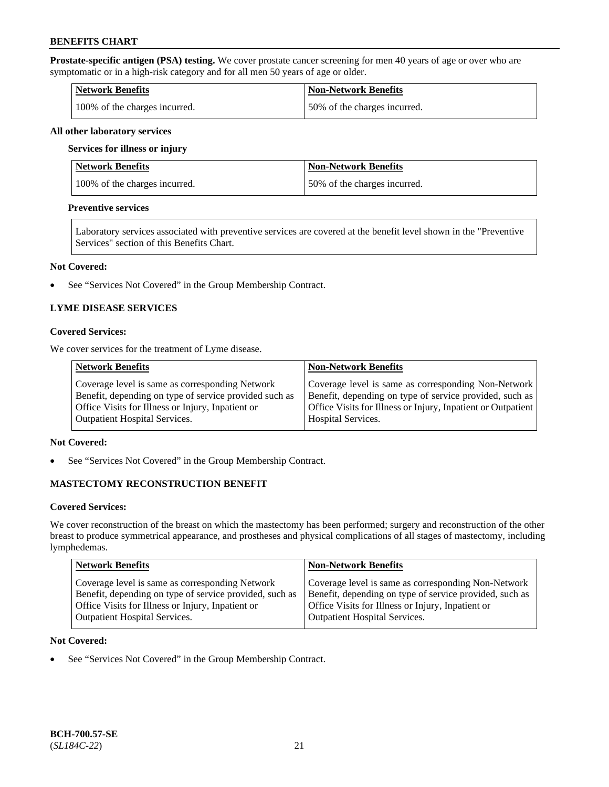**Prostate-specific antigen (PSA) testing.** We cover prostate cancer screening for men 40 years of age or over who are symptomatic or in a high-risk category and for all men 50 years of age or older.

| <b>Network Benefits</b>       | <b>Non-Network Benefits</b>  |
|-------------------------------|------------------------------|
| 100% of the charges incurred. | 50% of the charges incurred. |

#### **All other laboratory services**

#### **Services for illness or injury**

| Network Benefits              | <b>Non-Network Benefits</b>  |
|-------------------------------|------------------------------|
| 100% of the charges incurred. | 50% of the charges incurred. |

#### **Preventive services**

Laboratory services associated with preventive services are covered at the benefit level shown in the "Preventive Services" section of this Benefits Chart.

#### **Not Covered:**

• See "Services Not Covered" in the Group Membership Contract.

### **LYME DISEASE SERVICES**

#### **Covered Services:**

We cover services for the treatment of Lyme disease.

| <b>Network Benefits</b>                                | <b>Non-Network Benefits</b>                                  |
|--------------------------------------------------------|--------------------------------------------------------------|
| Coverage level is same as corresponding Network        | Coverage level is same as corresponding Non-Network          |
| Benefit, depending on type of service provided such as | Benefit, depending on type of service provided, such as      |
| Office Visits for Illness or Injury, Inpatient or      | Office Visits for Illness or Injury, Inpatient or Outpatient |
| <b>Outpatient Hospital Services.</b>                   | <b>Hospital Services.</b>                                    |

### **Not Covered:**

• See "Services Not Covered" in the Group Membership Contract.

### **MASTECTOMY RECONSTRUCTION BENEFIT**

#### **Covered Services:**

We cover reconstruction of the breast on which the mastectomy has been performed; surgery and reconstruction of the other breast to produce symmetrical appearance, and prostheses and physical complications of all stages of mastectomy, including lymphedemas.

| <b>Network Benefits</b>                                 | <b>Non-Network Benefits</b>                             |
|---------------------------------------------------------|---------------------------------------------------------|
| Coverage level is same as corresponding Network         | Coverage level is same as corresponding Non-Network     |
| Benefit, depending on type of service provided, such as | Benefit, depending on type of service provided, such as |
| Office Visits for Illness or Injury, Inpatient or       | Office Visits for Illness or Injury, Inpatient or       |
| <b>Outpatient Hospital Services.</b>                    | Outpatient Hospital Services.                           |

#### **Not Covered:**

• See "Services Not Covered" in the Group Membership Contract.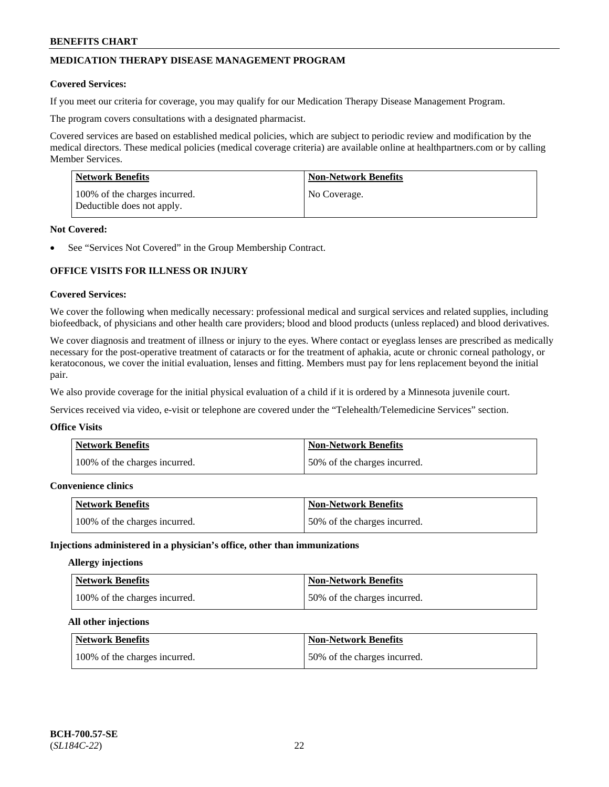## **MEDICATION THERAPY DISEASE MANAGEMENT PROGRAM**

#### **Covered Services:**

If you meet our criteria for coverage, you may qualify for our Medication Therapy Disease Management Program.

The program covers consultations with a designated pharmacist.

Covered services are based on established medical policies, which are subject to periodic review and modification by the medical directors. These medical policies (medical coverage criteria) are available online at [healthpartners.com](https://www.healthpartners.com/hp/index.html) or by calling Member Services.

| Network Benefits                                            | <b>Non-Network Benefits</b> |
|-------------------------------------------------------------|-----------------------------|
| 100% of the charges incurred.<br>Deductible does not apply. | No Coverage.                |

#### **Not Covered:**

See "Services Not Covered" in the Group Membership Contract.

## **OFFICE VISITS FOR ILLNESS OR INJURY**

#### **Covered Services:**

We cover the following when medically necessary: professional medical and surgical services and related supplies, including biofeedback, of physicians and other health care providers; blood and blood products (unless replaced) and blood derivatives.

We cover diagnosis and treatment of illness or injury to the eyes. Where contact or eyeglass lenses are prescribed as medically necessary for the post-operative treatment of cataracts or for the treatment of aphakia, acute or chronic corneal pathology, or keratoconous, we cover the initial evaluation, lenses and fitting. Members must pay for lens replacement beyond the initial pair.

We also provide coverage for the initial physical evaluation of a child if it is ordered by a Minnesota juvenile court.

Services received via video, e-visit or telephone are covered under the "Telehealth/Telemedicine Services" section.

#### **Office Visits**

| Network Benefits              | <b>Non-Network Benefits</b>  |
|-------------------------------|------------------------------|
| 100% of the charges incurred. | 50% of the charges incurred. |

### **Convenience clinics**

| <b>Network Benefits</b>       | <b>Non-Network Benefits</b>  |
|-------------------------------|------------------------------|
| 100% of the charges incurred. | 50% of the charges incurred. |

#### **Injections administered in a physician's office, other than immunizations**

#### **Allergy injections**

| Network Benefits              | <b>Non-Network Benefits</b>  |
|-------------------------------|------------------------------|
| 100% of the charges incurred. | 50% of the charges incurred. |

#### **All other injections**

| Network Benefits              | <b>Non-Network Benefits</b>  |
|-------------------------------|------------------------------|
| 100% of the charges incurred. | 50% of the charges incurred. |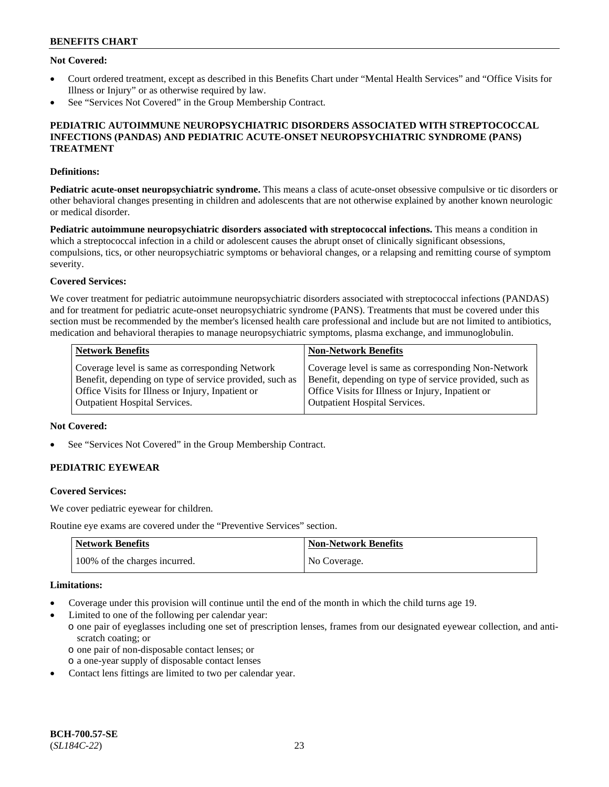#### **Not Covered:**

- Court ordered treatment, except as described in this Benefits Chart under "Mental Health Services" and "Office Visits for Illness or Injury" or as otherwise required by law.
- See "Services Not Covered" in the Group Membership Contract.

#### **PEDIATRIC AUTOIMMUNE NEUROPSYCHIATRIC DISORDERS ASSOCIATED WITH STREPTOCOCCAL INFECTIONS (PANDAS) AND PEDIATRIC ACUTE-ONSET NEUROPSYCHIATRIC SYNDROME (PANS) TREATMENT**

#### **Definitions:**

**Pediatric acute-onset neuropsychiatric syndrome.** This means a class of acute-onset obsessive compulsive or tic disorders or other behavioral changes presenting in children and adolescents that are not otherwise explained by another known neurologic or medical disorder.

**Pediatric autoimmune neuropsychiatric disorders associated with streptococcal infections.** This means a condition in which a streptococcal infection in a child or adolescent causes the abrupt onset of clinically significant obsessions, compulsions, tics, or other neuropsychiatric symptoms or behavioral changes, or a relapsing and remitting course of symptom severity.

#### **Covered Services:**

We cover treatment for pediatric autoimmune neuropsychiatric disorders associated with streptococcal infections (PANDAS) and for treatment for pediatric acute-onset neuropsychiatric syndrome (PANS). Treatments that must be covered under this section must be recommended by the member's licensed health care professional and include but are not limited to antibiotics, medication and behavioral therapies to manage neuropsychiatric symptoms, plasma exchange, and immunoglobulin.

| <b>Network Benefits</b>                                 | <b>Non-Network Benefits</b>                             |
|---------------------------------------------------------|---------------------------------------------------------|
| Coverage level is same as corresponding Network         | Coverage level is same as corresponding Non-Network     |
| Benefit, depending on type of service provided, such as | Benefit, depending on type of service provided, such as |
| Office Visits for Illness or Injury, Inpatient or       | Office Visits for Illness or Injury, Inpatient or       |
| <b>Outpatient Hospital Services.</b>                    | <b>Outpatient Hospital Services.</b>                    |

### **Not Covered:**

See "Services Not Covered" in the Group Membership Contract.

## **PEDIATRIC EYEWEAR**

#### **Covered Services:**

We cover pediatric eyewear for children.

Routine eye exams are covered under the "Preventive Services" section.

| <b>Network Benefits</b>       | Non-Network Benefits |
|-------------------------------|----------------------|
| 100% of the charges incurred. | No Coverage.         |

#### **Limitations:**

- Coverage under this provision will continue until the end of the month in which the child turns age 19.
- Limited to one of the following per calendar year:
	- o one pair of eyeglasses including one set of prescription lenses, frames from our designated eyewear collection, and antiscratch coating; or
		- o one pair of non-disposable contact lenses; or
	- o a one-year supply of disposable contact lenses
- Contact lens fittings are limited to two per calendar year.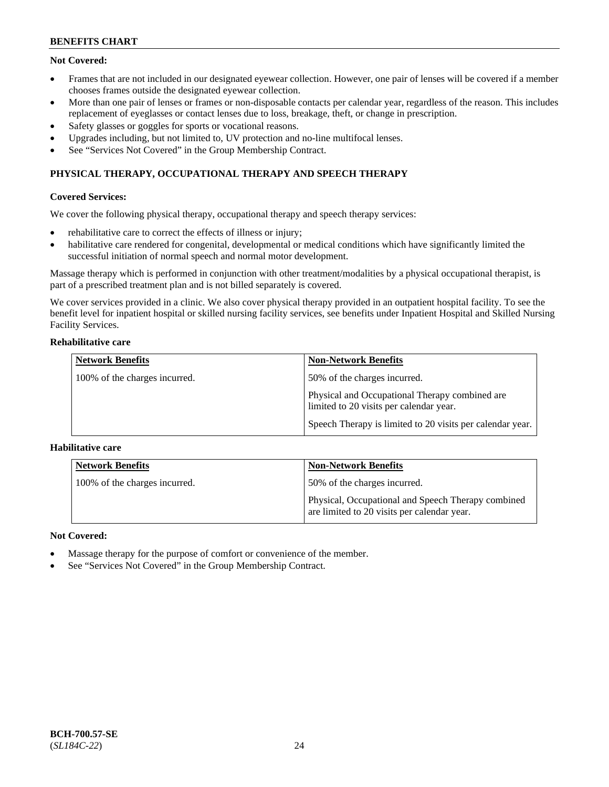## **Not Covered:**

- Frames that are not included in our designated eyewear collection. However, one pair of lenses will be covered if a member chooses frames outside the designated eyewear collection.
- More than one pair of lenses or frames or non-disposable contacts per calendar year, regardless of the reason. This includes replacement of eyeglasses or contact lenses due to loss, breakage, theft, or change in prescription.
- Safety glasses or goggles for sports or vocational reasons.
- Upgrades including, but not limited to, UV protection and no-line multifocal lenses.
- See "Services Not Covered" in the Group Membership Contract.

## **PHYSICAL THERAPY, OCCUPATIONAL THERAPY AND SPEECH THERAPY**

### **Covered Services:**

We cover the following physical therapy, occupational therapy and speech therapy services:

- rehabilitative care to correct the effects of illness or injury;
- habilitative care rendered for congenital, developmental or medical conditions which have significantly limited the successful initiation of normal speech and normal motor development.

Massage therapy which is performed in conjunction with other treatment/modalities by a physical occupational therapist, is part of a prescribed treatment plan and is not billed separately is covered.

We cover services provided in a clinic. We also cover physical therapy provided in an outpatient hospital facility. To see the benefit level for inpatient hospital or skilled nursing facility services, see benefits under Inpatient Hospital and Skilled Nursing Facility Services.

#### **Rehabilitative care**

| <b>Network Benefits</b>       | <b>Non-Network Benefits</b>                                                               |
|-------------------------------|-------------------------------------------------------------------------------------------|
| 100% of the charges incurred. | 50% of the charges incurred.                                                              |
|                               | Physical and Occupational Therapy combined are<br>limited to 20 visits per calendar year. |
|                               | Speech Therapy is limited to 20 visits per calendar year.                                 |

### **Habilitative care**

| <b>Network Benefits</b>       | <b>Non-Network Benefits</b>                                                                       |
|-------------------------------|---------------------------------------------------------------------------------------------------|
| 100% of the charges incurred. | 50% of the charges incurred.                                                                      |
|                               | Physical, Occupational and Speech Therapy combined<br>are limited to 20 visits per calendar year. |

### **Not Covered:**

- Massage therapy for the purpose of comfort or convenience of the member.
- See "Services Not Covered" in the Group Membership Contract.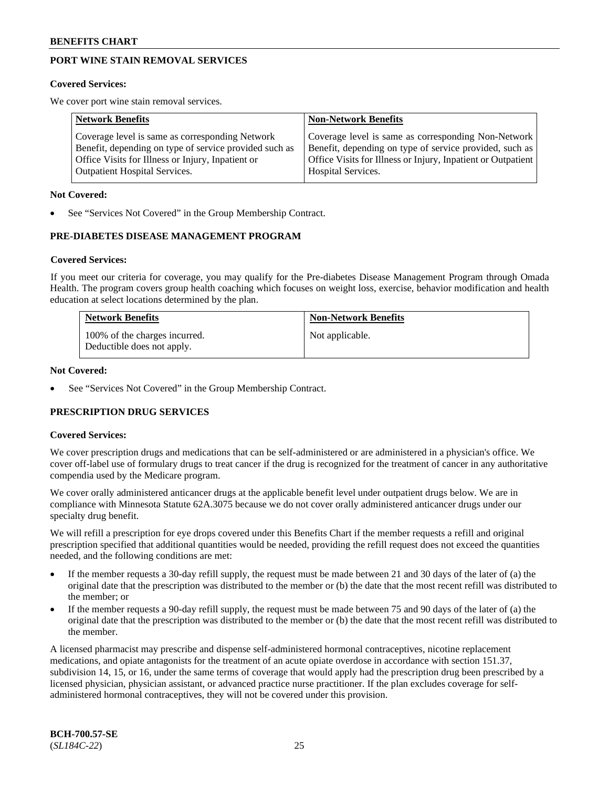## **PORT WINE STAIN REMOVAL SERVICES**

#### **Covered Services:**

We cover port wine stain removal services.

| <b>Network Benefits</b>                                | <b>Non-Network Benefits</b>                                  |
|--------------------------------------------------------|--------------------------------------------------------------|
| Coverage level is same as corresponding Network        | Coverage level is same as corresponding Non-Network          |
| Benefit, depending on type of service provided such as | Benefit, depending on type of service provided, such as      |
| Office Visits for Illness or Injury, Inpatient or      | Office Visits for Illness or Injury, Inpatient or Outpatient |
| <b>Outpatient Hospital Services.</b>                   | Hospital Services.                                           |

#### **Not Covered:**

See "Services Not Covered" in the Group Membership Contract.

### **PRE-DIABETES DISEASE MANAGEMENT PROGRAM**

#### **Covered Services:**

If you meet our criteria for coverage, you may qualify for the Pre-diabetes Disease Management Program through Omada Health. The program covers group health coaching which focuses on weight loss, exercise, behavior modification and health education at select locations determined by the plan.

| <b>Network Benefits</b>                                     | <b>Non-Network Benefits</b> |
|-------------------------------------------------------------|-----------------------------|
| 100% of the charges incurred.<br>Deductible does not apply. | Not applicable.             |

#### **Not Covered:**

See "Services Not Covered" in the Group Membership Contract.

### **PRESCRIPTION DRUG SERVICES**

#### **Covered Services:**

We cover prescription drugs and medications that can be self-administered or are administered in a physician's office. We cover off-label use of formulary drugs to treat cancer if the drug is recognized for the treatment of cancer in any authoritative compendia used by the Medicare program.

We cover orally administered anticancer drugs at the applicable benefit level under outpatient drugs below. We are in compliance with Minnesota Statute 62A.3075 because we do not cover orally administered anticancer drugs under our specialty drug benefit.

We will refill a prescription for eye drops covered under this Benefits Chart if the member requests a refill and original prescription specified that additional quantities would be needed, providing the refill request does not exceed the quantities needed, and the following conditions are met:

- If the member requests a 30-day refill supply, the request must be made between 21 and 30 days of the later of (a) the original date that the prescription was distributed to the member or (b) the date that the most recent refill was distributed to the member; or
- If the member requests a 90-day refill supply, the request must be made between 75 and 90 days of the later of (a) the original date that the prescription was distributed to the member or (b) the date that the most recent refill was distributed to the member.

A licensed pharmacist may prescribe and dispense self-administered hormonal contraceptives, nicotine replacement medications, and opiate antagonists for the treatment of an acute opiate overdose in accordance with section 151.37, subdivision 14, 15, or 16, under the same terms of coverage that would apply had the prescription drug been prescribed by a licensed physician, physician assistant, or advanced practice nurse practitioner. If the plan excludes coverage for selfadministered hormonal contraceptives, they will not be covered under this provision.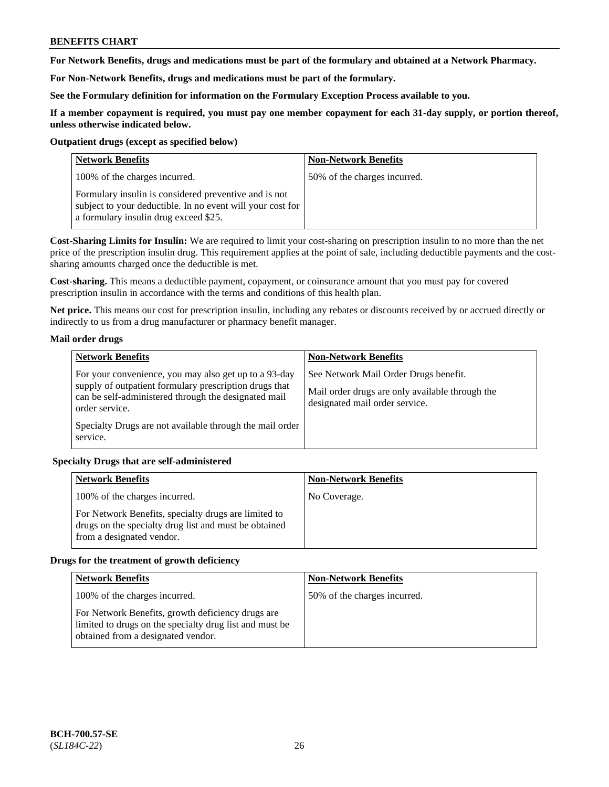**For Network Benefits, drugs and medications must be part of the formulary and obtained at a Network Pharmacy.**

**For Non-Network Benefits, drugs and medications must be part of the formulary.** 

**See the Formulary definition for information on the Formulary Exception Process available to you.**

**If a member copayment is required, you must pay one member copayment for each 31-day supply, or portion thereof, unless otherwise indicated below.**

#### **Outpatient drugs (except as specified below)**

| <b>Network Benefits</b>                                                                                                                                      | <b>Non-Network Benefits</b>  |
|--------------------------------------------------------------------------------------------------------------------------------------------------------------|------------------------------|
| 100% of the charges incurred.                                                                                                                                | 50% of the charges incurred. |
| Formulary insulin is considered preventive and is not<br>subject to your deductible. In no event will your cost for<br>a formulary insulin drug exceed \$25. |                              |

**Cost-Sharing Limits for Insulin:** We are required to limit your cost-sharing on prescription insulin to no more than the net price of the prescription insulin drug. This requirement applies at the point of sale, including deductible payments and the costsharing amounts charged once the deductible is met.

**Cost-sharing.** This means a deductible payment, copayment, or coinsurance amount that you must pay for covered prescription insulin in accordance with the terms and conditions of this health plan.

**Net price.** This means our cost for prescription insulin, including any rebates or discounts received by or accrued directly or indirectly to us from a drug manufacturer or pharmacy benefit manager.

### **Mail order drugs**

| <b>Network Benefits</b>                                                                                                                                                                   | <b>Non-Network Benefits</b>                                                                                                |
|-------------------------------------------------------------------------------------------------------------------------------------------------------------------------------------------|----------------------------------------------------------------------------------------------------------------------------|
| For your convenience, you may also get up to a 93-day<br>supply of outpatient formulary prescription drugs that<br>can be self-administered through the designated mail<br>order service. | See Network Mail Order Drugs benefit.<br>Mail order drugs are only available through the<br>designated mail order service. |
| Specialty Drugs are not available through the mail order<br>service.                                                                                                                      |                                                                                                                            |

### **Specialty Drugs that are self-administered**

| <b>Network Benefits</b>                                                                                                                    | <b>Non-Network Benefits</b> |
|--------------------------------------------------------------------------------------------------------------------------------------------|-----------------------------|
| 100% of the charges incurred.                                                                                                              | No Coverage.                |
| For Network Benefits, specialty drugs are limited to<br>drugs on the specialty drug list and must be obtained<br>from a designated vendor. |                             |

### **Drugs for the treatment of growth deficiency**

| <b>Network Benefits</b>                                                                                                                            | <b>Non-Network Benefits</b>  |
|----------------------------------------------------------------------------------------------------------------------------------------------------|------------------------------|
| 100% of the charges incurred.                                                                                                                      | 50% of the charges incurred. |
| For Network Benefits, growth deficiency drugs are<br>limited to drugs on the specialty drug list and must be<br>obtained from a designated vendor. |                              |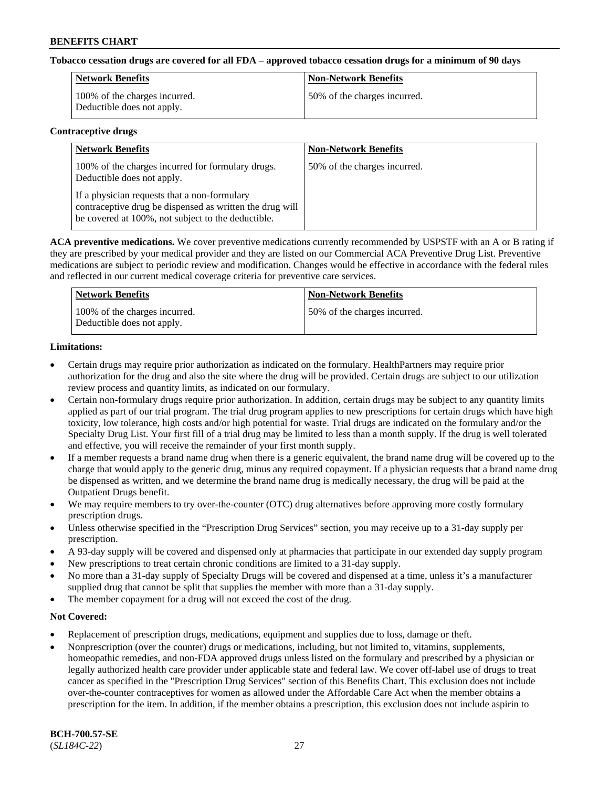#### **Tobacco cessation drugs are covered for all FDA – approved tobacco cessation drugs for a minimum of 90 days**

| Network Benefits                                            | <b>Non-Network Benefits</b>  |
|-------------------------------------------------------------|------------------------------|
| 100% of the charges incurred.<br>Deductible does not apply. | 50% of the charges incurred. |

#### **Contraceptive drugs**

| <b>Network Benefits</b>                                                                                                                                        | <b>Non-Network Benefits</b>  |
|----------------------------------------------------------------------------------------------------------------------------------------------------------------|------------------------------|
| 100% of the charges incurred for formulary drugs.<br>Deductible does not apply.                                                                                | 50% of the charges incurred. |
| If a physician requests that a non-formulary<br>contraceptive drug be dispensed as written the drug will<br>be covered at 100%, not subject to the deductible. |                              |

**ACA preventive medications.** We cover preventive medications currently recommended by USPSTF with an A or B rating if they are prescribed by your medical provider and they are listed on our Commercial ACA Preventive Drug List. Preventive medications are subject to periodic review and modification. Changes would be effective in accordance with the federal rules and reflected in our current medical coverage criteria for preventive care services.

| Network Benefits                                            | <b>Non-Network Benefits</b>  |
|-------------------------------------------------------------|------------------------------|
| 100% of the charges incurred.<br>Deductible does not apply. | 50% of the charges incurred. |

## **Limitations:**

- Certain drugs may require prior authorization as indicated on the formulary. HealthPartners may require prior authorization for the drug and also the site where the drug will be provided. Certain drugs are subject to our utilization review process and quantity limits, as indicated on our formulary.
- Certain non-formulary drugs require prior authorization. In addition, certain drugs may be subject to any quantity limits applied as part of our trial program. The trial drug program applies to new prescriptions for certain drugs which have high toxicity, low tolerance, high costs and/or high potential for waste. Trial drugs are indicated on the formulary and/or the Specialty Drug List. Your first fill of a trial drug may be limited to less than a month supply. If the drug is well tolerated and effective, you will receive the remainder of your first month supply.
- If a member requests a brand name drug when there is a generic equivalent, the brand name drug will be covered up to the charge that would apply to the generic drug, minus any required copayment. If a physician requests that a brand name drug be dispensed as written, and we determine the brand name drug is medically necessary, the drug will be paid at the Outpatient Drugs benefit.
- We may require members to try over-the-counter (OTC) drug alternatives before approving more costly formulary prescription drugs.
- Unless otherwise specified in the "Prescription Drug Services" section, you may receive up to a 31-day supply per prescription.
- A 93-day supply will be covered and dispensed only at pharmacies that participate in our extended day supply program
- New prescriptions to treat certain chronic conditions are limited to a 31-day supply.
- No more than a 31-day supply of Specialty Drugs will be covered and dispensed at a time, unless it's a manufacturer supplied drug that cannot be split that supplies the member with more than a 31-day supply.
- The member copayment for a drug will not exceed the cost of the drug.

### **Not Covered:**

- Replacement of prescription drugs, medications, equipment and supplies due to loss, damage or theft.
- Nonprescription (over the counter) drugs or medications, including, but not limited to, vitamins, supplements, homeopathic remedies, and non-FDA approved drugs unless listed on the formulary and prescribed by a physician or legally authorized health care provider under applicable state and federal law. We cover off-label use of drugs to treat cancer as specified in the "Prescription Drug Services" section of this Benefits Chart. This exclusion does not include over-the-counter contraceptives for women as allowed under the Affordable Care Act when the member obtains a prescription for the item. In addition, if the member obtains a prescription, this exclusion does not include aspirin to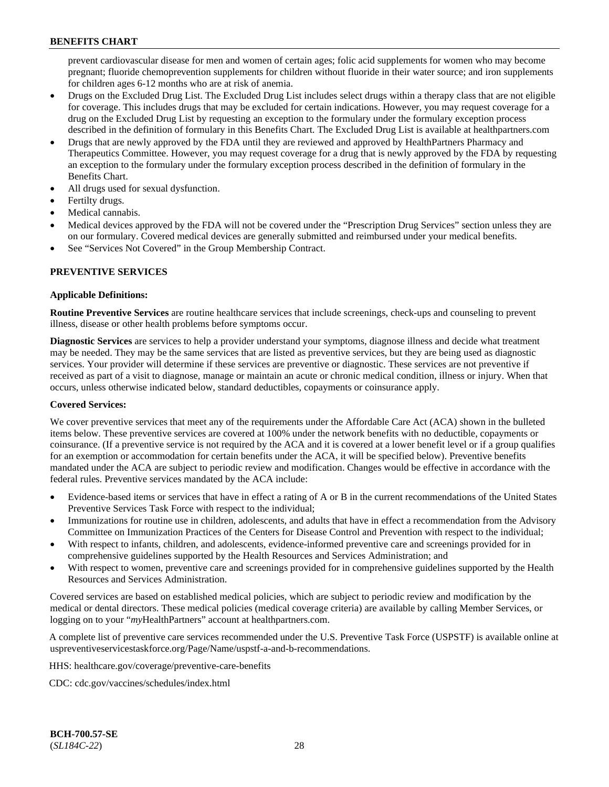prevent cardiovascular disease for men and women of certain ages; folic acid supplements for women who may become pregnant; fluoride chemoprevention supplements for children without fluoride in their water source; and iron supplements for children ages 6-12 months who are at risk of anemia.

- Drugs on the Excluded Drug List. The Excluded Drug List includes select drugs within a therapy class that are not eligible for coverage. This includes drugs that may be excluded for certain indications. However, you may request coverage for a drug on the Excluded Drug List by requesting an exception to the formulary under the formulary exception process described in the definition of formulary in this Benefits Chart. The Excluded Drug List is available at [healthpartners.com](http://www.healthpartners.com/)
- Drugs that are newly approved by the FDA until they are reviewed and approved by HealthPartners Pharmacy and Therapeutics Committee. However, you may request coverage for a drug that is newly approved by the FDA by requesting an exception to the formulary under the formulary exception process described in the definition of formulary in the Benefits Chart.
- All drugs used for sexual dysfunction.
- Fertilty drugs.
- Medical cannabis.
- Medical devices approved by the FDA will not be covered under the "Prescription Drug Services" section unless they are on our formulary. Covered medical devices are generally submitted and reimbursed under your medical benefits.
- See "Services Not Covered" in the Group Membership Contract.

## **PREVENTIVE SERVICES**

### **Applicable Definitions:**

**Routine Preventive Services** are routine healthcare services that include screenings, check-ups and counseling to prevent illness, disease or other health problems before symptoms occur.

**Diagnostic Services** are services to help a provider understand your symptoms, diagnose illness and decide what treatment may be needed. They may be the same services that are listed as preventive services, but they are being used as diagnostic services. Your provider will determine if these services are preventive or diagnostic. These services are not preventive if received as part of a visit to diagnose, manage or maintain an acute or chronic medical condition, illness or injury. When that occurs, unless otherwise indicated below, standard deductibles, copayments or coinsurance apply.

### **Covered Services:**

We cover preventive services that meet any of the requirements under the Affordable Care Act (ACA) shown in the bulleted items below. These preventive services are covered at 100% under the network benefits with no deductible, copayments or coinsurance. (If a preventive service is not required by the ACA and it is covered at a lower benefit level or if a group qualifies for an exemption or accommodation for certain benefits under the ACA, it will be specified below). Preventive benefits mandated under the ACA are subject to periodic review and modification. Changes would be effective in accordance with the federal rules. Preventive services mandated by the ACA include:

- Evidence-based items or services that have in effect a rating of A or B in the current recommendations of the United States Preventive Services Task Force with respect to the individual;
- Immunizations for routine use in children, adolescents, and adults that have in effect a recommendation from the Advisory Committee on Immunization Practices of the Centers for Disease Control and Prevention with respect to the individual;
- With respect to infants, children, and adolescents, evidence-informed preventive care and screenings provided for in comprehensive guidelines supported by the Health Resources and Services Administration; and
- With respect to women, preventive care and screenings provided for in comprehensive guidelines supported by the Health Resources and Services Administration.

Covered services are based on established medical policies, which are subject to periodic review and modification by the medical or dental directors. These medical policies (medical coverage criteria) are available by calling Member Services, or logging on to your "*my*HealthPartners" account at [healthpartners.com.](http://www.healthpartners.com/)

A complete list of preventive care services recommended under the U.S. Preventive Task Force (USPSTF) is available online at [uspreventiveservicestaskforce.org/Page/Name/uspstf-a-and-b-recommendations.](https://www.uspreventiveservicestaskforce.org/Page/Name/uspstf-a-and-b-recommendations-by-date/)

HHS: [healthcare.gov/coverage/preventive-care-benefits](https://www.healthcare.gov/coverage/preventive-care-benefits/)

CDC: [cdc.gov/vaccines/schedules/index.html](https://www.cdc.gov/vaccines/schedules/index.html)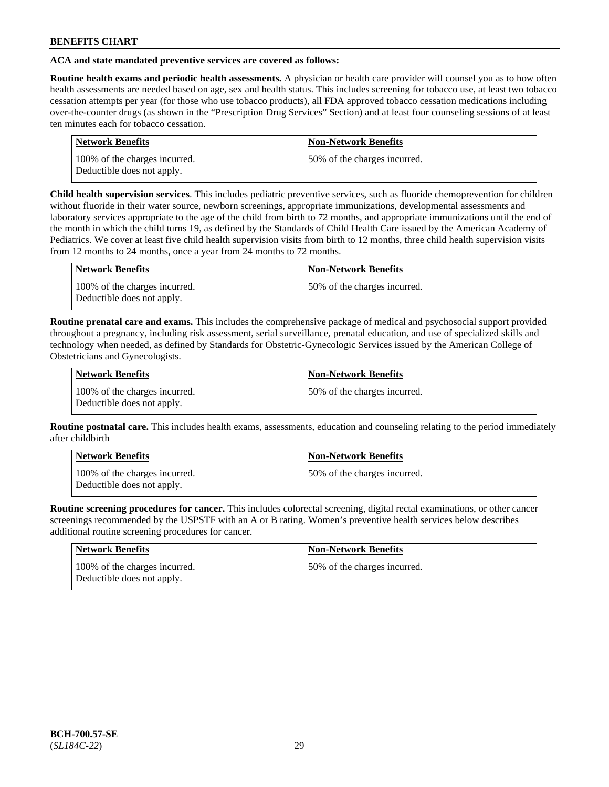## **ACA and state mandated preventive services are covered as follows:**

**Routine health exams and periodic health assessments.** A physician or health care provider will counsel you as to how often health assessments are needed based on age, sex and health status. This includes screening for tobacco use, at least two tobacco cessation attempts per year (for those who use tobacco products), all FDA approved tobacco cessation medications including over-the-counter drugs (as shown in the "Prescription Drug Services" Section) and at least four counseling sessions of at least ten minutes each for tobacco cessation.

| <b>Network Benefits</b>                                     | <b>Non-Network Benefits</b>  |
|-------------------------------------------------------------|------------------------------|
| 100% of the charges incurred.<br>Deductible does not apply. | 50% of the charges incurred. |

**Child health supervision services**. This includes pediatric preventive services, such as fluoride chemoprevention for children without fluoride in their water source, newborn screenings, appropriate immunizations, developmental assessments and laboratory services appropriate to the age of the child from birth to 72 months, and appropriate immunizations until the end of the month in which the child turns 19, as defined by the Standards of Child Health Care issued by the American Academy of Pediatrics. We cover at least five child health supervision visits from birth to 12 months, three child health supervision visits from 12 months to 24 months, once a year from 24 months to 72 months.

| Network Benefits                                            | <b>Non-Network Benefits</b>  |
|-------------------------------------------------------------|------------------------------|
| 100% of the charges incurred.<br>Deductible does not apply. | 50% of the charges incurred. |

**Routine prenatal care and exams.** This includes the comprehensive package of medical and psychosocial support provided throughout a pregnancy, including risk assessment, serial surveillance, prenatal education, and use of specialized skills and technology when needed, as defined by Standards for Obstetric-Gynecologic Services issued by the American College of Obstetricians and Gynecologists.

| Network Benefits                                            | <b>Non-Network Benefits</b>   |
|-------------------------------------------------------------|-------------------------------|
| 100% of the charges incurred.<br>Deductible does not apply. | 150% of the charges incurred. |

**Routine postnatal care.** This includes health exams, assessments, education and counseling relating to the period immediately after childbirth

| Network Benefits                                            | <b>Non-Network Benefits</b>  |
|-------------------------------------------------------------|------------------------------|
| 100% of the charges incurred.<br>Deductible does not apply. | 50% of the charges incurred. |

**Routine screening procedures for cancer.** This includes colorectal screening, digital rectal examinations, or other cancer screenings recommended by the USPSTF with an A or B rating. Women's preventive health services below describes additional routine screening procedures for cancer.

| <b>Network Benefits</b>                                     | <b>Non-Network Benefits</b>  |
|-------------------------------------------------------------|------------------------------|
| 100% of the charges incurred.<br>Deductible does not apply. | 50% of the charges incurred. |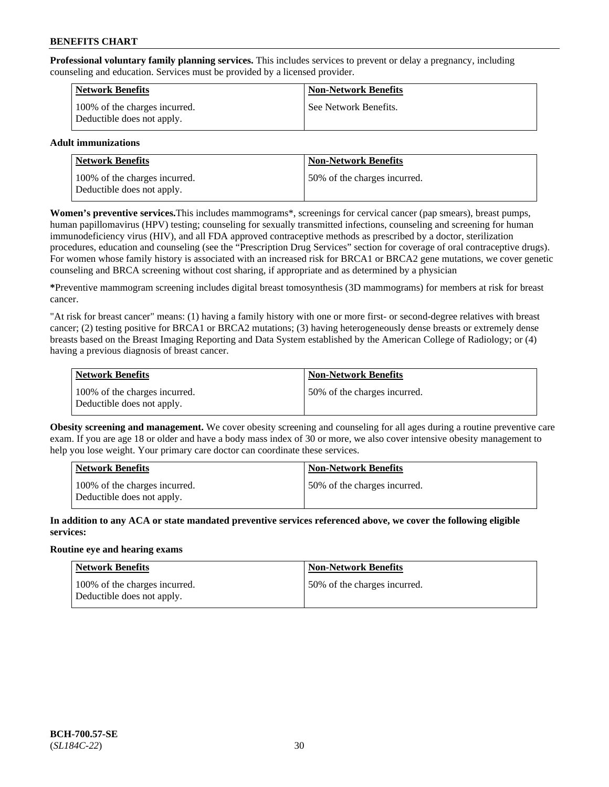**Professional voluntary family planning services.** This includes services to prevent or delay a pregnancy, including counseling and education. Services must be provided by a licensed provider.

| Network Benefits                                            | <b>Non-Network Benefits</b> |
|-------------------------------------------------------------|-----------------------------|
| 100% of the charges incurred.<br>Deductible does not apply. | See Network Benefits.       |

## **Adult immunizations**

| <b>Network Benefits</b>                                     | <b>Non-Network Benefits</b>  |
|-------------------------------------------------------------|------------------------------|
| 100% of the charges incurred.<br>Deductible does not apply. | 50% of the charges incurred. |

**Women's preventive services.**This includes mammograms\*, screenings for cervical cancer (pap smears), breast pumps, human papillomavirus (HPV) testing; counseling for sexually transmitted infections, counseling and screening for human immunodeficiency virus (HIV), and all FDA approved contraceptive methods as prescribed by a doctor, sterilization procedures, education and counseling (see the "Prescription Drug Services" section for coverage of oral contraceptive drugs). For women whose family history is associated with an increased risk for BRCA1 or BRCA2 gene mutations, we cover genetic counseling and BRCA screening without cost sharing, if appropriate and as determined by a physician

**\***Preventive mammogram screening includes digital breast tomosynthesis (3D mammograms) for members at risk for breast cancer.

"At risk for breast cancer" means: (1) having a family history with one or more first- or second-degree relatives with breast cancer; (2) testing positive for BRCA1 or BRCA2 mutations; (3) having heterogeneously dense breasts or extremely dense breasts based on the Breast Imaging Reporting and Data System established by the American College of Radiology; or (4) having a previous diagnosis of breast cancer.

| Network Benefits                                            | <b>Non-Network Benefits</b>  |
|-------------------------------------------------------------|------------------------------|
| 100% of the charges incurred.<br>Deductible does not apply. | 50% of the charges incurred. |

**Obesity screening and management.** We cover obesity screening and counseling for all ages during a routine preventive care exam. If you are age 18 or older and have a body mass index of 30 or more, we also cover intensive obesity management to help you lose weight. Your primary care doctor can coordinate these services.

| <b>Network Benefits</b>                                     | <b>Non-Network Benefits</b>   |
|-------------------------------------------------------------|-------------------------------|
| 100% of the charges incurred.<br>Deductible does not apply. | 150% of the charges incurred. |

**In addition to any ACA or state mandated preventive services referenced above, we cover the following eligible services:**

### **Routine eye and hearing exams**

| Network Benefits                                            | <b>Non-Network Benefits</b>  |
|-------------------------------------------------------------|------------------------------|
| 100% of the charges incurred.<br>Deductible does not apply. | 50% of the charges incurred. |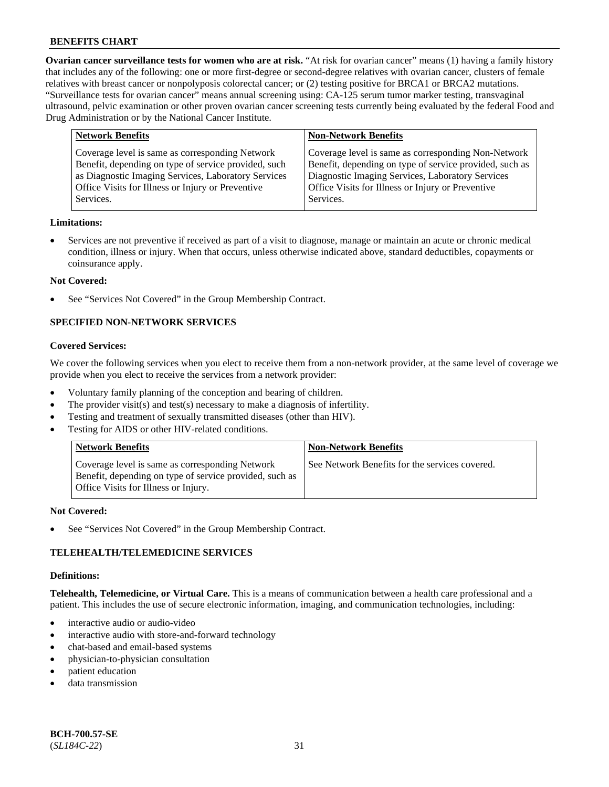**Ovarian cancer surveillance tests for women who are at risk.** "At risk for ovarian cancer" means (1) having a family history that includes any of the following: one or more first-degree or second-degree relatives with ovarian cancer, clusters of female relatives with breast cancer or nonpolyposis colorectal cancer; or (2) testing positive for BRCA1 or BRCA2 mutations. "Surveillance tests for ovarian cancer" means annual screening using: CA-125 serum tumor marker testing, transvaginal ultrasound, pelvic examination or other proven ovarian cancer screening tests currently being evaluated by the federal Food and Drug Administration or by the National Cancer Institute.

| <b>Network Benefits</b>                                                                                                                                                                                                          | <b>Non-Network Benefits</b>                                                                                                                                                                                                          |
|----------------------------------------------------------------------------------------------------------------------------------------------------------------------------------------------------------------------------------|--------------------------------------------------------------------------------------------------------------------------------------------------------------------------------------------------------------------------------------|
| Coverage level is same as corresponding Network<br>Benefit, depending on type of service provided, such<br>as Diagnostic Imaging Services, Laboratory Services<br>Office Visits for Illness or Injury or Preventive<br>Services. | Coverage level is same as corresponding Non-Network<br>Benefit, depending on type of service provided, such as<br>Diagnostic Imaging Services, Laboratory Services<br>Office Visits for Illness or Injury or Preventive<br>Services. |
|                                                                                                                                                                                                                                  |                                                                                                                                                                                                                                      |

#### **Limitations:**

• Services are not preventive if received as part of a visit to diagnose, manage or maintain an acute or chronic medical condition, illness or injury. When that occurs, unless otherwise indicated above, standard deductibles, copayments or coinsurance apply.

#### **Not Covered:**

See "Services Not Covered" in the Group Membership Contract.

## **SPECIFIED NON-NETWORK SERVICES**

#### **Covered Services:**

We cover the following services when you elect to receive them from a non-network provider, at the same level of coverage we provide when you elect to receive the services from a network provider:

- Voluntary family planning of the conception and bearing of children.
- The provider visit(s) and test(s) necessary to make a diagnosis of infertility.
- Testing and treatment of sexually transmitted diseases (other than HIV).
- Testing for AIDS or other HIV-related conditions.

| <b>Network Benefits</b>                                                                                                                            | <b>Non-Network Benefits</b>                    |
|----------------------------------------------------------------------------------------------------------------------------------------------------|------------------------------------------------|
| Coverage level is same as corresponding Network<br>Benefit, depending on type of service provided, such as<br>Office Visits for Illness or Injury. | See Network Benefits for the services covered. |

#### **Not Covered:**

See "Services Not Covered" in the Group Membership Contract.

### **TELEHEALTH/TELEMEDICINE SERVICES**

#### **Definitions:**

**Telehealth, Telemedicine, or Virtual Care.** This is a means of communication between a health care professional and a patient. This includes the use of secure electronic information, imaging, and communication technologies, including:

- interactive audio or audio-video
- interactive audio with store-and-forward technology
- chat-based and email-based systems
- physician-to-physician consultation
- patient education
- data transmission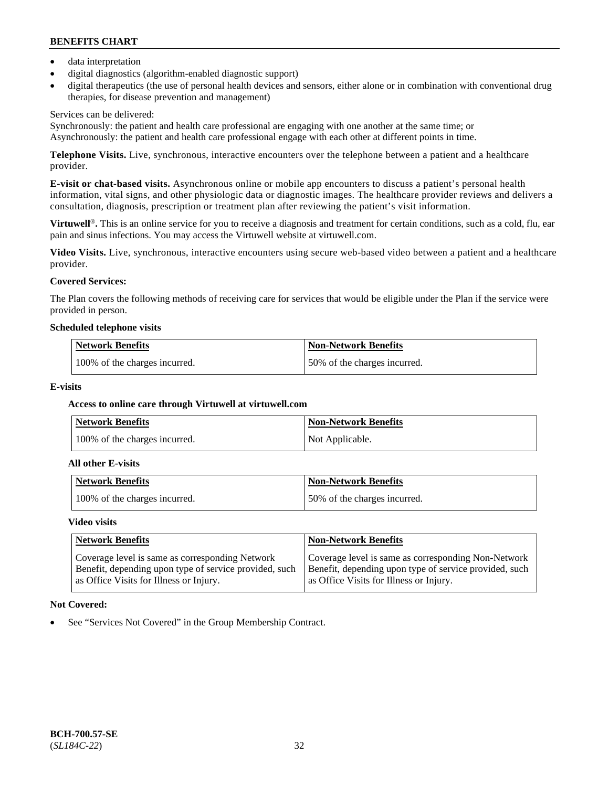- data interpretation
- digital diagnostics (algorithm-enabled diagnostic support)
- digital therapeutics (the use of personal health devices and sensors, either alone or in combination with conventional drug therapies, for disease prevention and management)

## Services can be delivered:

Synchronously: the patient and health care professional are engaging with one another at the same time; or Asynchronously: the patient and health care professional engage with each other at different points in time.

**Telephone Visits.** Live, synchronous, interactive encounters over the telephone between a patient and a healthcare provider.

**E-visit or chat-based visits.** Asynchronous online or mobile app encounters to discuss a patient's personal health information, vital signs, and other physiologic data or diagnostic images. The healthcare provider reviews and delivers a consultation, diagnosis, prescription or treatment plan after reviewing the patient's visit information.

**Virtuwell<sup>®</sup>**. This is an online service for you to receive a diagnosis and treatment for certain conditions, such as a cold, flu, ear pain and sinus infections. You may access the Virtuwell website at [virtuwell.com.](https://www.virtuwell.com/)

**Video Visits.** Live, synchronous, interactive encounters using secure web-based video between a patient and a healthcare provider.

## **Covered Services:**

The Plan covers the following methods of receiving care for services that would be eligible under the Plan if the service were provided in person.

#### **Scheduled telephone visits**

| <b>Network Benefits</b>       | <b>Non-Network Benefits</b>  |
|-------------------------------|------------------------------|
| 100% of the charges incurred. | 50% of the charges incurred. |

### **E-visits**

## **Access to online care through Virtuwell at [virtuwell.com](https://www.virtuwell.com/)**

| <b>Network Benefits</b>       | <b>Non-Network Benefits</b> |
|-------------------------------|-----------------------------|
| 100% of the charges incurred. | Not Applicable.             |

#### **All other E-visits**

| Network Benefits              | <b>Non-Network Benefits</b>  |
|-------------------------------|------------------------------|
| 100% of the charges incurred. | 50% of the charges incurred. |

#### **Video visits**

| <b>Network Benefits</b>                                                                                                                              | <b>Non-Network Benefits</b>                                                                                                                              |
|------------------------------------------------------------------------------------------------------------------------------------------------------|----------------------------------------------------------------------------------------------------------------------------------------------------------|
| Coverage level is same as corresponding Network<br>Benefit, depending upon type of service provided, such<br>as Office Visits for Illness or Injury. | Coverage level is same as corresponding Non-Network<br>Benefit, depending upon type of service provided, such<br>as Office Visits for Illness or Injury. |

### **Not Covered:**

See "Services Not Covered" in the Group Membership Contract.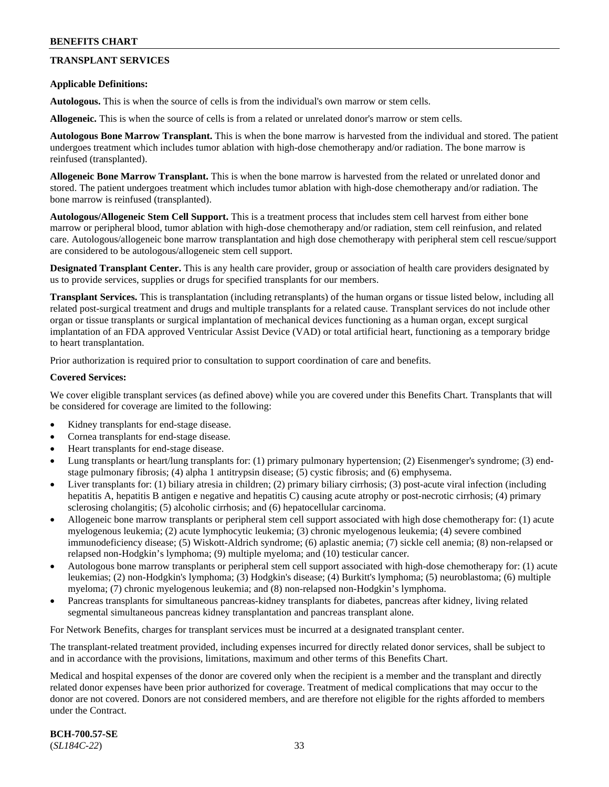## **TRANSPLANT SERVICES**

#### **Applicable Definitions:**

**Autologous.** This is when the source of cells is from the individual's own marrow or stem cells.

**Allogeneic.** This is when the source of cells is from a related or unrelated donor's marrow or stem cells.

**Autologous Bone Marrow Transplant.** This is when the bone marrow is harvested from the individual and stored. The patient undergoes treatment which includes tumor ablation with high-dose chemotherapy and/or radiation. The bone marrow is reinfused (transplanted).

**Allogeneic Bone Marrow Transplant.** This is when the bone marrow is harvested from the related or unrelated donor and stored. The patient undergoes treatment which includes tumor ablation with high-dose chemotherapy and/or radiation. The bone marrow is reinfused (transplanted).

**Autologous/Allogeneic Stem Cell Support.** This is a treatment process that includes stem cell harvest from either bone marrow or peripheral blood, tumor ablation with high-dose chemotherapy and/or radiation, stem cell reinfusion, and related care. Autologous/allogeneic bone marrow transplantation and high dose chemotherapy with peripheral stem cell rescue/support are considered to be autologous/allogeneic stem cell support.

**Designated Transplant Center.** This is any health care provider, group or association of health care providers designated by us to provide services, supplies or drugs for specified transplants for our members.

**Transplant Services.** This is transplantation (including retransplants) of the human organs or tissue listed below, including all related post-surgical treatment and drugs and multiple transplants for a related cause. Transplant services do not include other organ or tissue transplants or surgical implantation of mechanical devices functioning as a human organ, except surgical implantation of an FDA approved Ventricular Assist Device (VAD) or total artificial heart, functioning as a temporary bridge to heart transplantation.

Prior authorization is required prior to consultation to support coordination of care and benefits.

#### **Covered Services:**

We cover eligible transplant services (as defined above) while you are covered under this Benefits Chart. Transplants that will be considered for coverage are limited to the following:

- Kidney transplants for end-stage disease.
- Cornea transplants for end-stage disease.
- Heart transplants for end-stage disease.
- Lung transplants or heart/lung transplants for: (1) primary pulmonary hypertension; (2) Eisenmenger's syndrome; (3) endstage pulmonary fibrosis; (4) alpha 1 antitrypsin disease; (5) cystic fibrosis; and (6) emphysema.
- Liver transplants for: (1) biliary atresia in children; (2) primary biliary cirrhosis; (3) post-acute viral infection (including hepatitis A, hepatitis B antigen e negative and hepatitis C) causing acute atrophy or post-necrotic cirrhosis; (4) primary sclerosing cholangitis; (5) alcoholic cirrhosis; and (6) hepatocellular carcinoma.
- Allogeneic bone marrow transplants or peripheral stem cell support associated with high dose chemotherapy for: (1) acute myelogenous leukemia; (2) acute lymphocytic leukemia; (3) chronic myelogenous leukemia; (4) severe combined immunodeficiency disease; (5) Wiskott-Aldrich syndrome; (6) aplastic anemia; (7) sickle cell anemia; (8) non-relapsed or relapsed non-Hodgkin's lymphoma; (9) multiple myeloma; and (10) testicular cancer.
- Autologous bone marrow transplants or peripheral stem cell support associated with high-dose chemotherapy for: (1) acute leukemias; (2) non-Hodgkin's lymphoma; (3) Hodgkin's disease; (4) Burkitt's lymphoma; (5) neuroblastoma; (6) multiple myeloma; (7) chronic myelogenous leukemia; and (8) non-relapsed non-Hodgkin's lymphoma.
- Pancreas transplants for simultaneous pancreas-kidney transplants for diabetes, pancreas after kidney, living related segmental simultaneous pancreas kidney transplantation and pancreas transplant alone.

For Network Benefits, charges for transplant services must be incurred at a designated transplant center.

The transplant-related treatment provided, including expenses incurred for directly related donor services, shall be subject to and in accordance with the provisions, limitations, maximum and other terms of this Benefits Chart.

Medical and hospital expenses of the donor are covered only when the recipient is a member and the transplant and directly related donor expenses have been prior authorized for coverage. Treatment of medical complications that may occur to the donor are not covered. Donors are not considered members, and are therefore not eligible for the rights afforded to members under the Contract.